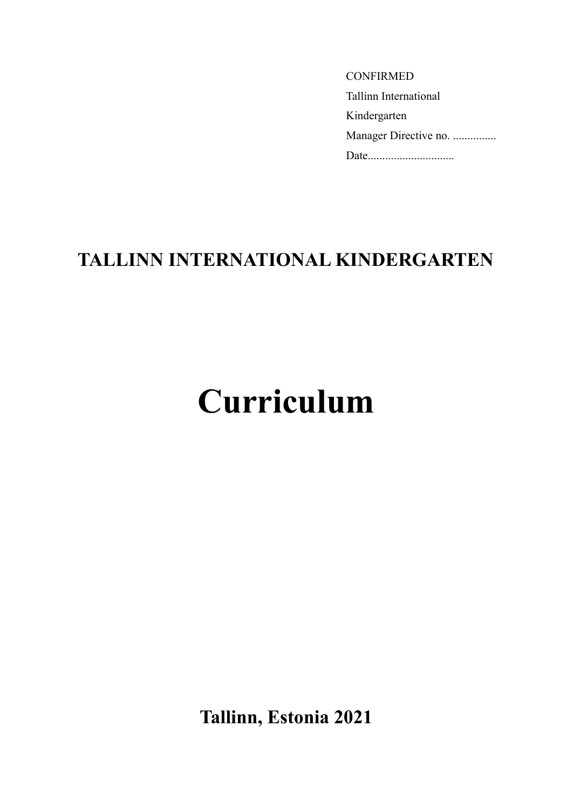| <b>CONFIRMED</b>             |
|------------------------------|
| <b>Tallinn International</b> |
| Kindergarten                 |
| Manager Directive no.        |
| Date                         |

# **TALLINN INTERNATIONAL KINDERGARTEN**

# **Curriculum**

**Tallinn, Estonia 2021**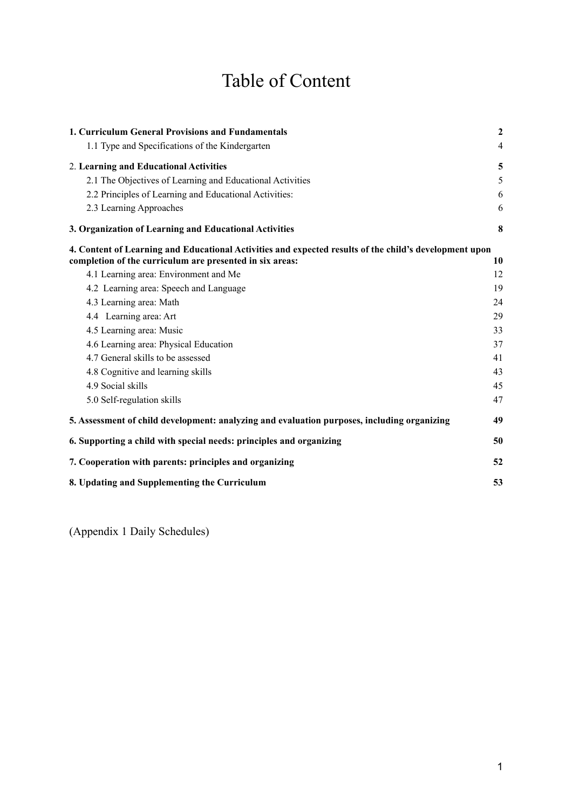# Table of Content

| 1. Curriculum General Provisions and Fundamentals                                                      | $\mathbf{2}$   |
|--------------------------------------------------------------------------------------------------------|----------------|
| 1.1 Type and Specifications of the Kindergarten                                                        | $\overline{4}$ |
| 2. Learning and Educational Activities                                                                 | 5              |
| 2.1 The Objectives of Learning and Educational Activities                                              | 5              |
| 2.2 Principles of Learning and Educational Activities:                                                 | 6              |
| 2.3 Learning Approaches                                                                                | 6              |
| 3. Organization of Learning and Educational Activities                                                 | 8              |
| 4. Content of Learning and Educational Activities and expected results of the child's development upon |                |
| completion of the curriculum are presented in six areas:<br>4.1 Learning area: Environment and Me      | 10<br>12       |
|                                                                                                        | 19             |
| 4.2 Learning area: Speech and Language<br>4.3 Learning area: Math                                      | 24             |
|                                                                                                        |                |
| 4.4 Learning area: Art                                                                                 | 29             |
| 4.5 Learning area: Music                                                                               | 33             |
| 4.6 Learning area: Physical Education                                                                  | 37             |
| 4.7 General skills to be assessed                                                                      | 41             |
| 4.8 Cognitive and learning skills                                                                      | 43             |
| 4.9 Social skills                                                                                      | 45             |
| 5.0 Self-regulation skills                                                                             | 47             |
| 5. Assessment of child development: analyzing and evaluation purposes, including organizing            | 49             |
| 6. Supporting a child with special needs: principles and organizing                                    | 50             |
| 7. Cooperation with parents: principles and organizing                                                 | 52             |
| 8. Updating and Supplementing the Curriculum                                                           | 53             |

(Appendix 1 Daily Schedules)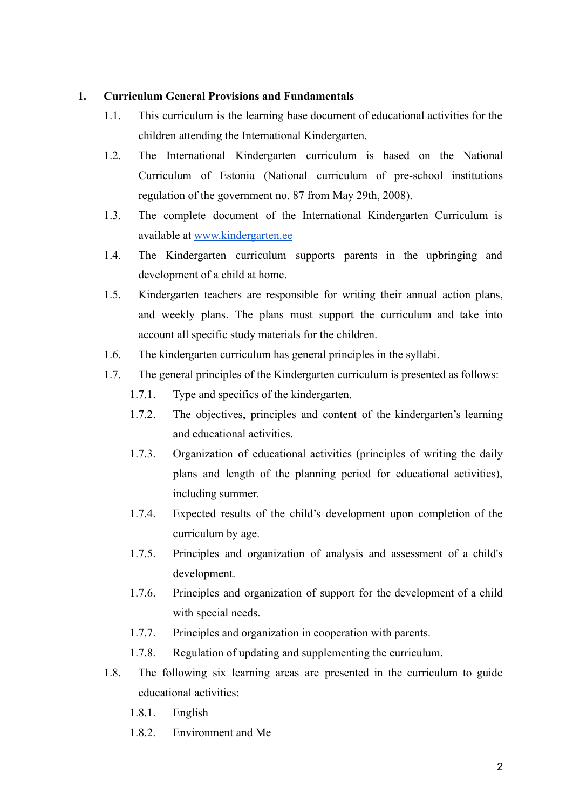#### **1. Curriculum General Provisions and Fundamentals**

- 1.1. This curriculum is the learning base document of educational activities for the children attending the International Kindergarten.
- 1.2. The International Kindergarten curriculum is based on the National Curriculum of Estonia (National curriculum of pre-school institutions regulation of the government no. 87 from May 29th, 2008).
- 1.3. The complete document of the International Kindergarten Curriculum is available at [www.kindergarten.ee](http://www.kindergarten.ee)
- 1.4. The Kindergarten curriculum supports parents in the upbringing and development of a child at home.
- 1.5. Kindergarten teachers are responsible for writing their annual action plans, and weekly plans. The plans must support the curriculum and take into account all specific study materials for the children.
- 1.6. The kindergarten curriculum has general principles in the syllabi.
- 1.7. The general principles of the Kindergarten curriculum is presented as follows:
	- 1.7.1. Type and specifics of the kindergarten.
	- 1.7.2. The objectives, principles and content of the kindergarten's learning and educational activities.
	- 1.7.3. Organization of educational activities (principles of writing the daily plans and length of the planning period for educational activities), including summer.
	- 1.7.4. Expected results of the child's development upon completion of the curriculum by age.
	- 1.7.5. Principles and organization of analysis and assessment of a child's development.
	- 1.7.6. Principles and organization of support for the development of a child with special needs.
	- 1.7.7. Principles and organization in cooperation with parents.
	- 1.7.8. Regulation of updating and supplementing the curriculum.
- 1.8. The following six learning areas are presented in the curriculum to guide educational activities:
	- 1.8.1. English
	- 1.8.2. Environment and Me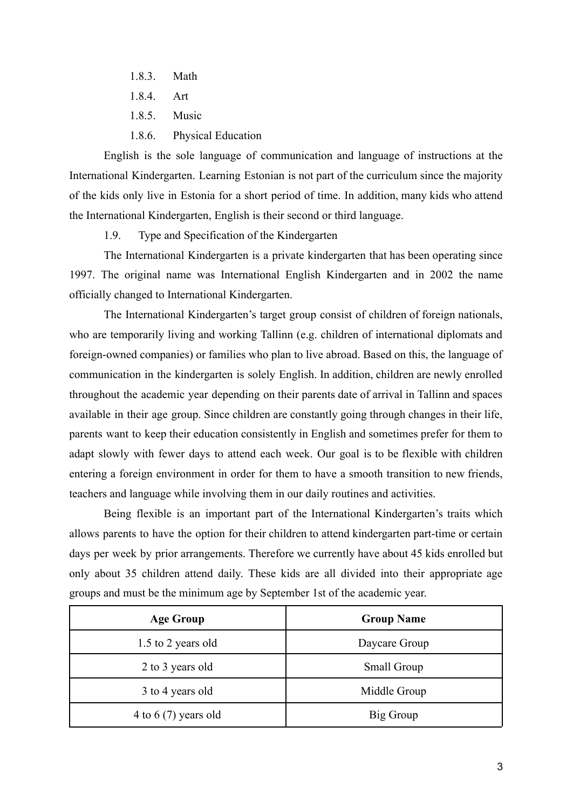- 1.8.3. Math
- 1.8.4. Art
- 1.8.5. Music
- 1.8.6. Physical Education

English is the sole language of communication and language of instructions at the International Kindergarten. Learning Estonian is not part of the curriculum since the majority of the kids only live in Estonia for a short period of time. In addition, many kids who attend the International Kindergarten, English is their second or third language.

1.9. Type and Specification of the Kindergarten

The International Kindergarten is a private kindergarten that has been operating since 1997. The original name was International English Kindergarten and in 2002 the name officially changed to International Kindergarten.

The International Kindergarten's target group consist of children of foreign nationals, who are temporarily living and working Tallinn (e.g. children of international diplomats and foreign-owned companies) or families who plan to live abroad. Based on this, the language of communication in the kindergarten is solely English. In addition, children are newly enrolled throughout the academic year depending on their parents date of arrival in Tallinn and spaces available in their age group. Since children are constantly going through changes in their life, parents want to keep their education consistently in English and sometimes prefer for them to adapt slowly with fewer days to attend each week. Our goal is to be flexible with children entering a foreign environment in order for them to have a smooth transition to new friends, teachers and language while involving them in our daily routines and activities.

Being flexible is an important part of the International Kindergarten's traits which allows parents to have the option for their children to attend kindergarten part-time or certain days per week by prior arrangements. Therefore we currently have about 45 kids enrolled but only about 35 children attend daily. These kids are all divided into their appropriate age groups and must be the minimum age by September 1st of the academic year.

| <b>Age Group</b>       | <b>Group Name</b>  |
|------------------------|--------------------|
| 1.5 to 2 years old     | Daycare Group      |
| 2 to 3 years old       | <b>Small Group</b> |
| 3 to 4 years old       | Middle Group       |
| 4 to 6 $(7)$ years old | Big Group          |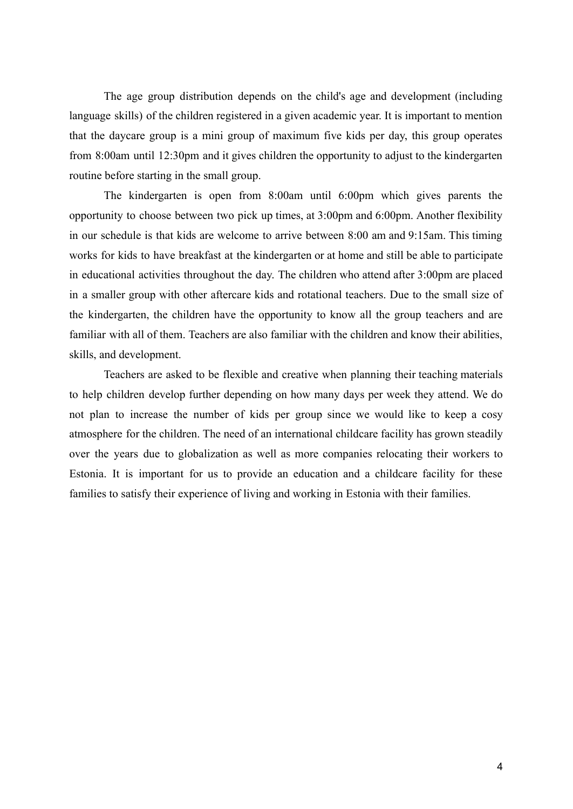The age group distribution depends on the child's age and development (including language skills) of the children registered in a given academic year. It is important to mention that the daycare group is a mini group of maximum five kids per day, this group operates from 8:00am until 12:30pm and it gives children the opportunity to adjust to the kindergarten routine before starting in the small group.

The kindergarten is open from 8:00am until 6:00pm which gives parents the opportunity to choose between two pick up times, at 3:00pm and 6:00pm. Another flexibility in our schedule is that kids are welcome to arrive between 8:00 am and 9:15am. This timing works for kids to have breakfast at the kindergarten or at home and still be able to participate in educational activities throughout the day. The children who attend after 3:00pm are placed in a smaller group with other aftercare kids and rotational teachers. Due to the small size of the kindergarten, the children have the opportunity to know all the group teachers and are familiar with all of them. Teachers are also familiar with the children and know their abilities, skills, and development.

Teachers are asked to be flexible and creative when planning their teaching materials to help children develop further depending on how many days per week they attend. We do not plan to increase the number of kids per group since we would like to keep a cosy atmosphere for the children. The need of an international childcare facility has grown steadily over the years due to globalization as well as more companies relocating their workers to Estonia. It is important for us to provide an education and a childcare facility for these families to satisfy their experience of living and working in Estonia with their families.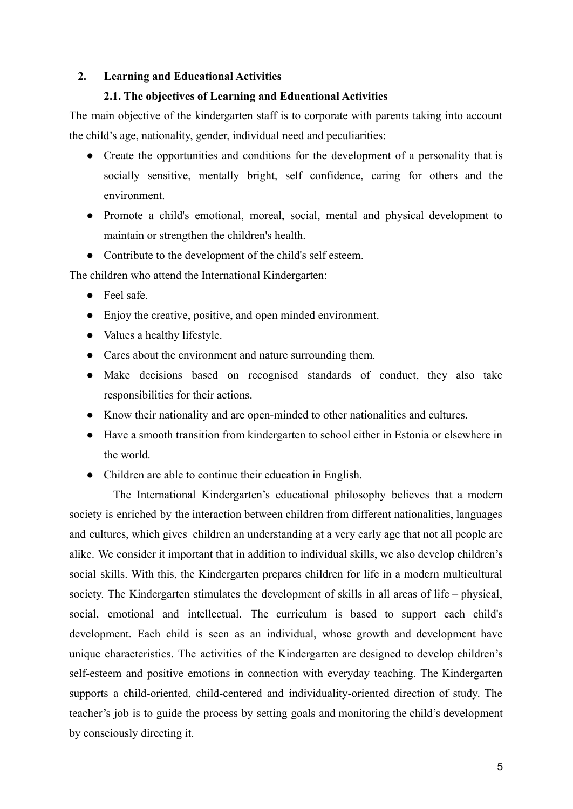#### **2. Learning and Educational Activities**

#### **2.1. The objectives of Learning and Educational Activities**

The main objective of the kindergarten staff is to corporate with parents taking into account the child's age, nationality, gender, individual need and peculiarities:

- Create the opportunities and conditions for the development of a personality that is socially sensitive, mentally bright, self confidence, caring for others and the environment.
- Promote a child's emotional, moreal, social, mental and physical development to maintain or strengthen the children's health.
- Contribute to the development of the child's self esteem.

The children who attend the International Kindergarten:

- Feel safe.
- Enjoy the creative, positive, and open minded environment.
- Values a healthy lifestyle.
- Cares about the environment and nature surrounding them.
- Make decisions based on recognised standards of conduct, they also take responsibilities for their actions.
- Know their nationality and are open-minded to other nationalities and cultures.
- Have a smooth transition from kindergarten to school either in Estonia or elsewhere in the world.
- Children are able to continue their education in English.

The International Kindergarten's educational philosophy believes that a modern society is enriched by the interaction between children from different nationalities, languages and cultures, which gives children an understanding at a very early age that not all people are alike. We consider it important that in addition to individual skills, we also develop children's social skills. With this, the Kindergarten prepares children for life in a modern multicultural society. The Kindergarten stimulates the development of skills in all areas of life – physical, social, emotional and intellectual. The curriculum is based to support each child's development. Each child is seen as an individual, whose growth and development have unique characteristics. The activities of the Kindergarten are designed to develop children's self-esteem and positive emotions in connection with everyday teaching. The Kindergarten supports a child-oriented, child-centered and individuality-oriented direction of study. The teacher's job is to guide the process by setting goals and monitoring the child's development by consciously directing it.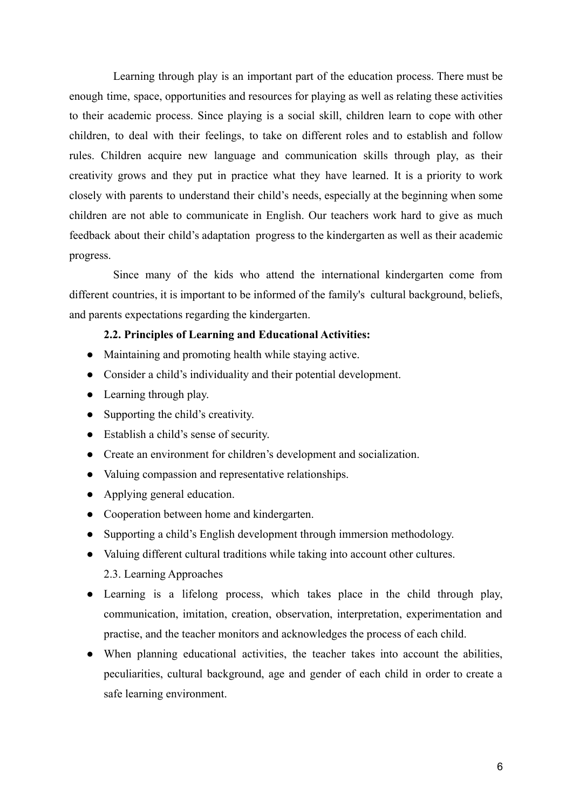Learning through play is an important part of the education process. There must be enough time, space, opportunities and resources for playing as well as relating these activities to their academic process. Since playing is a social skill, children learn to cope with other children, to deal with their feelings, to take on different roles and to establish and follow rules. Children acquire new language and communication skills through play, as their creativity grows and they put in practice what they have learned. It is a priority to work closely with parents to understand their child's needs, especially at the beginning when some children are not able to communicate in English. Our teachers work hard to give as much feedback about their child's adaptation progress to the kindergarten as well as their academic progress.

Since many of the kids who attend the international kindergarten come from different countries, it is important to be informed of the family's cultural background, beliefs, and parents expectations regarding the kindergarten.

#### **2.2. Principles of Learning and Educational Activities:**

- Maintaining and promoting health while staying active.
- Consider a child's individuality and their potential development.
- Learning through play.
- Supporting the child's creativity.
- Establish a child's sense of security.
- Create an environment for children's development and socialization.
- Valuing compassion and representative relationships.
- Applying general education.
- Cooperation between home and kindergarten.
- Supporting a child's English development through immersion methodology.
- Valuing different cultural traditions while taking into account other cultures. 2.3. Learning Approaches
- Learning is a lifelong process, which takes place in the child through play, communication, imitation, creation, observation, interpretation, experimentation and practise, and the teacher monitors and acknowledges the process of each child.
- When planning educational activities, the teacher takes into account the abilities, peculiarities, cultural background, age and gender of each child in order to create a safe learning environment.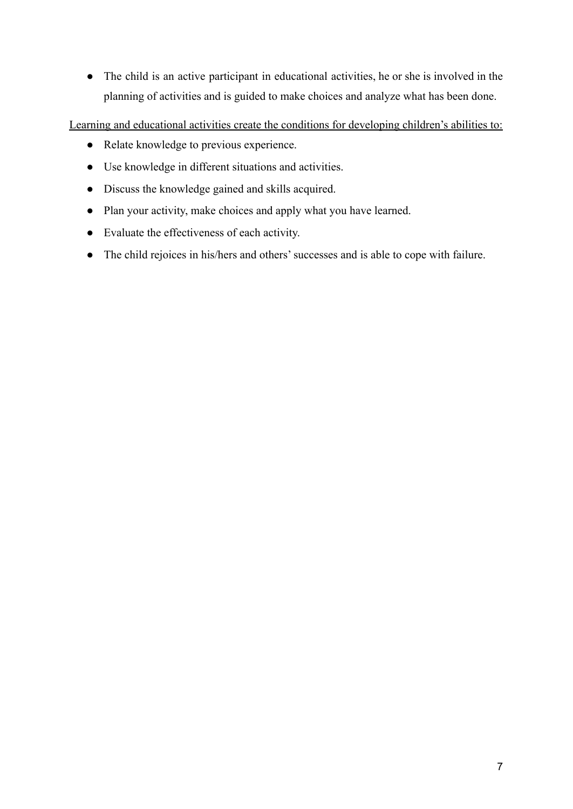● The child is an active participant in educational activities, he or she is involved in the planning of activities and is guided to make choices and analyze what has been done.

Learning and educational activities create the conditions for developing children's abilities to:

- Relate knowledge to previous experience.
- Use knowledge in different situations and activities.
- Discuss the knowledge gained and skills acquired.
- Plan your activity, make choices and apply what you have learned.
- Evaluate the effectiveness of each activity.
- The child rejoices in his/hers and others' successes and is able to cope with failure.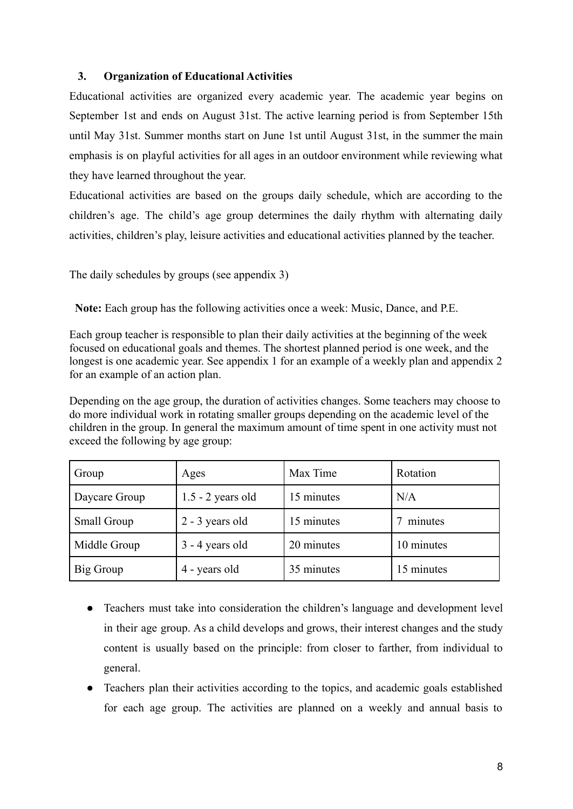#### **3. Organization of Educational Activities**

Educational activities are organized every academic year. The academic year begins on September 1st and ends on August 31st. The active learning period is from September 15th until May 31st. Summer months start on June 1st until August 31st, in the summer the main emphasis is on playful activities for all ages in an outdoor environment while reviewing what they have learned throughout the year.

Educational activities are based on the groups daily schedule, which are according to the children's age. The child's age group determines the daily rhythm with alternating daily activities, children's play, leisure activities and educational activities planned by the teacher.

The daily schedules by groups (see appendix 3)

**Note:** Each group has the following activities once a week: Music, Dance, and P.E.

Each group teacher is responsible to plan their daily activities at the beginning of the week focused on educational goals and themes. The shortest planned period is one week, and the longest is one academic year. See appendix 1 for an example of a weekly plan and appendix 2 for an example of an action plan.

Depending on the age group, the duration of activities changes. Some teachers may choose to do more individual work in rotating smaller groups depending on the academic level of the children in the group. In general the maximum amount of time spent in one activity must not exceed the following by age group:

| Group         | Ages                | Max Time   | Rotation   |
|---------------|---------------------|------------|------------|
| Daycare Group | $1.5 - 2$ years old | 15 minutes | N/A        |
| Small Group   | $2 - 3$ years old   | 15 minutes | minutes    |
| Middle Group  | $3 - 4$ years old   | 20 minutes | 10 minutes |
| Big Group     | 4 - years old       | 35 minutes | 15 minutes |

- Teachers must take into consideration the children's language and development level in their age group. As a child develops and grows, their interest changes and the study content is usually based on the principle: from closer to farther, from individual to general.
- Teachers plan their activities according to the topics, and academic goals established for each age group. The activities are planned on a weekly and annual basis to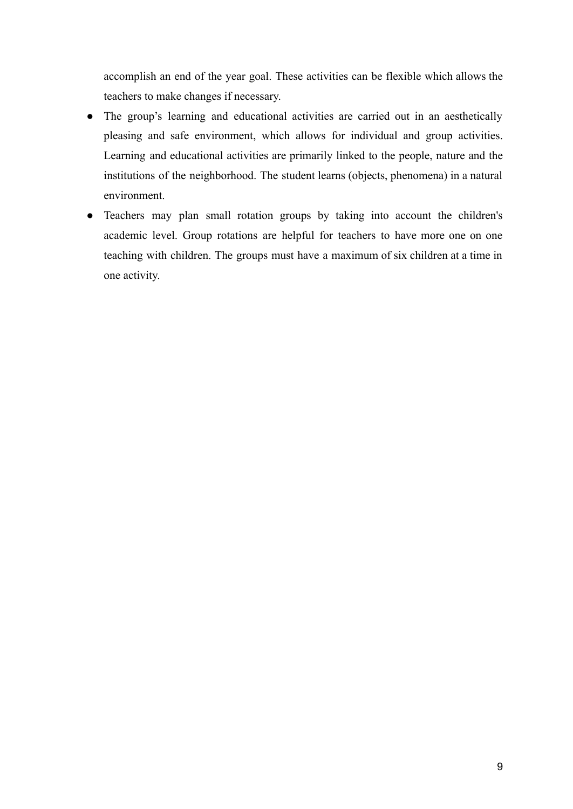accomplish an end of the year goal. These activities can be flexible which allows the teachers to make changes if necessary.

- The group's learning and educational activities are carried out in an aesthetically pleasing and safe environment, which allows for individual and group activities. Learning and educational activities are primarily linked to the people, nature and the institutions of the neighborhood. The student learns (objects, phenomena) in a natural environment.
- Teachers may plan small rotation groups by taking into account the children's academic level. Group rotations are helpful for teachers to have more one on one teaching with children. The groups must have a maximum of six children at a time in one activity.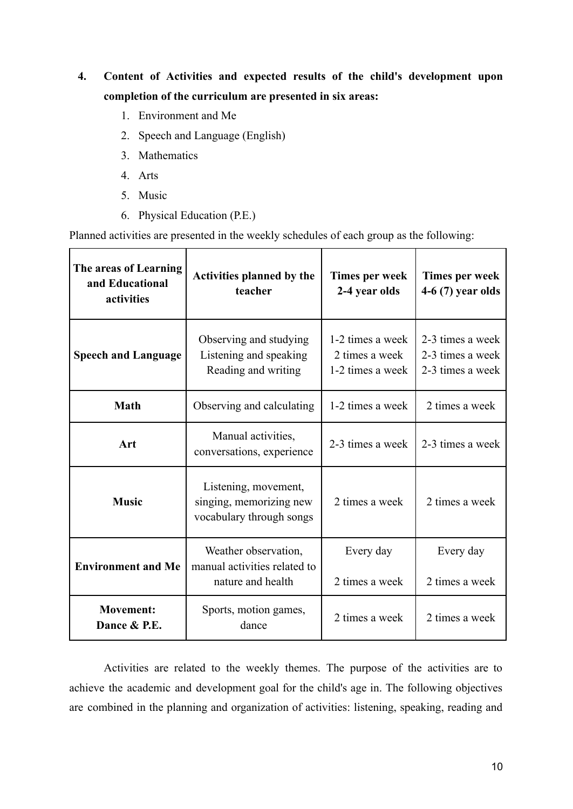# **4. Content of Activities and expected results of the child's development upon completion of the curriculum are presented in six areas:**

- 1. Environment and Me
- 2. Speech and Language (English)
- 3. Mathematics
- 4. Arts
- 5. Music
- 6. Physical Education (P.E.)

Planned activities are presented in the weekly schedules of each group as the following:

| The areas of Learning<br>and Educational<br>activities             | <b>Activities planned by the</b><br>teacher                                 | Times per week<br>2-4 year olds                        | Times per week<br>$4-6(7)$ year olds                     |
|--------------------------------------------------------------------|-----------------------------------------------------------------------------|--------------------------------------------------------|----------------------------------------------------------|
| <b>Speech and Language</b>                                         | Observing and studying<br>Listening and speaking<br>Reading and writing     | 1-2 times a week<br>2 times a week<br>1-2 times a week | 2-3 times a week<br>2-3 times a week<br>2-3 times a week |
| <b>Math</b>                                                        | Observing and calculating                                                   | 1-2 times a week                                       | 2 times a week                                           |
| Manual activities,<br>Art<br>conversations, experience             |                                                                             | 2-3 times a week                                       | 2-3 times a week                                         |
| <b>Music</b>                                                       | Listening, movement,<br>singing, memorizing new<br>vocabulary through songs |                                                        | 2 times a week                                           |
| <b>Environment and Me</b>                                          | Weather observation,<br>manual activities related to<br>nature and health   | Every day<br>2 times a week                            | Every day<br>2 times a week                              |
| <b>Movement:</b><br>Sports, motion games,<br>Dance & P.E.<br>dance |                                                                             | 2 times a week                                         | 2 times a week                                           |

Activities are related to the weekly themes. The purpose of the activities are to achieve the academic and development goal for the child's age in. The following objectives are combined in the planning and organization of activities: listening, speaking, reading and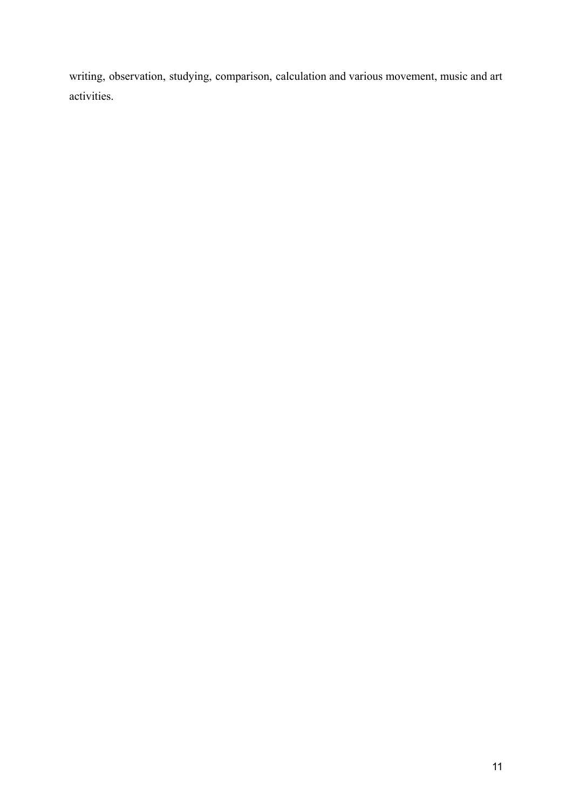writing, observation, studying, comparison, calculation and various movement, music and art activities.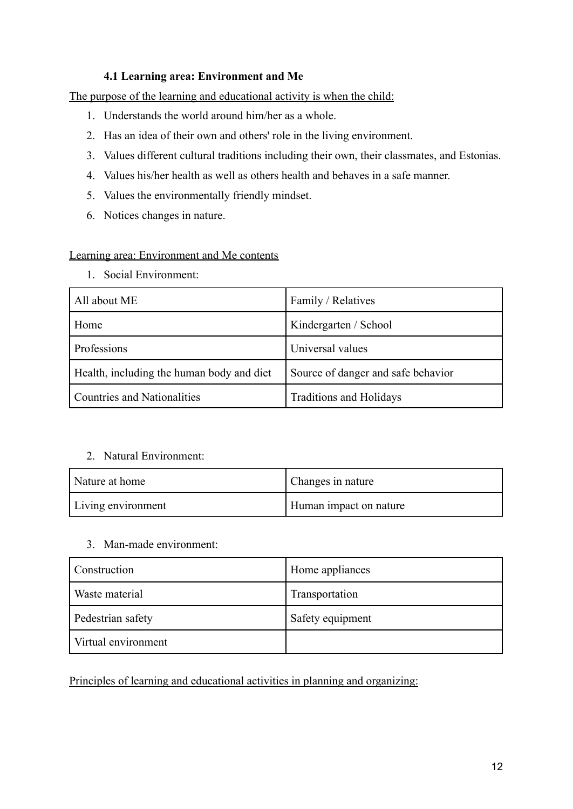#### **4.1 Learning area: Environment and Me**

The purpose of the learning and educational activity is when the child:

- 1. Understands the world around him/her as a whole.
- 2. Has an idea of their own and others' role in the living environment.
- 3. Values different cultural traditions including their own, their classmates, and Estonias.
- 4. Values his/her health as well as others health and behaves in a safe manner.
- 5. Values the environmentally friendly mindset.
- 6. Notices changes in nature.

#### Learning area: Environment and Me contents

1. Social Environment:

| All about ME                              | Family / Relatives                 |
|-------------------------------------------|------------------------------------|
| Home                                      | Kindergarten / School              |
| Professions                               | Universal values                   |
| Health, including the human body and diet | Source of danger and safe behavior |
| <b>Countries and Nationalities</b>        | Traditions and Holidays            |

#### 2. Natural Environment:

| Nature at home     | Changes in nature      |
|--------------------|------------------------|
| Living environment | Human impact on nature |

#### 3. Man-made environment:

| Construction        | Home appliances  |
|---------------------|------------------|
| Waste material      | Transportation   |
| Pedestrian safety   | Safety equipment |
| Virtual environment |                  |

Principles of learning and educational activities in planning and organizing: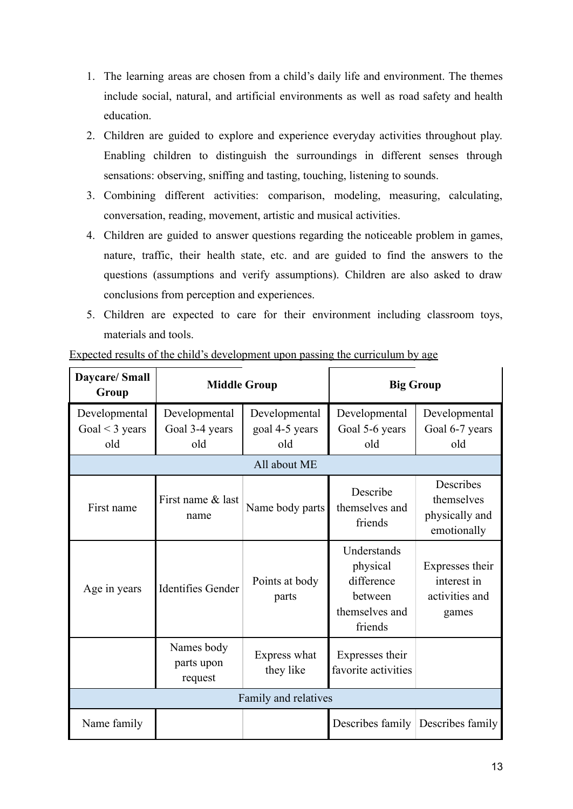- 1. The learning areas are chosen from a child's daily life and environment. The themes include social, natural, and artificial environments as well as road safety and health education.
- 2. Children are guided to explore and experience everyday activities throughout play. Enabling children to distinguish the surroundings in different senses through sensations: observing, sniffing and tasting, touching, listening to sounds.
- 3. Combining different activities: comparison, modeling, measuring, calculating, conversation, reading, movement, artistic and musical activities.
- 4. Children are guided to answer questions regarding the noticeable problem in games, nature, traffic, their health state, etc. and are guided to find the answers to the questions (assumptions and verify assumptions). Children are also asked to draw conclusions from perception and experiences.
- 5. Children are expected to care for their environment including classroom toys, materials and tools.

| <b>Daycare/Small</b><br>Group               | <b>Middle Group</b>                    |                                        | <b>Big Group</b>                                                              |                                                           |
|---------------------------------------------|----------------------------------------|----------------------------------------|-------------------------------------------------------------------------------|-----------------------------------------------------------|
| Developmental<br>Goal $\leq$ 3 years<br>old | Developmental<br>Goal 3-4 years<br>old | Developmental<br>goal 4-5 years<br>old | Developmental<br>Goal 5-6 years<br>old                                        | Developmental<br>Goal 6-7 years<br>old                    |
|                                             |                                        | All about ME                           |                                                                               |                                                           |
| First name                                  | First name & last<br>name              | Name body parts                        | Describe<br>themselves and<br>friends                                         | Describes<br>themselves<br>physically and<br>emotionally  |
| Age in years                                | <b>Identifies Gender</b>               | Points at body<br>parts                | Understands<br>physical<br>difference<br>between<br>themselves and<br>friends | Expresses their<br>interest in<br>activities and<br>games |
|                                             | Names body<br>parts upon<br>request    | Express what<br>they like              | Expresses their<br>favorite activities                                        |                                                           |
| Family and relatives                        |                                        |                                        |                                                                               |                                                           |
| Name family                                 |                                        |                                        |                                                                               | Describes family Describes family                         |

Expected results of the child's development upon passing the curriculum by age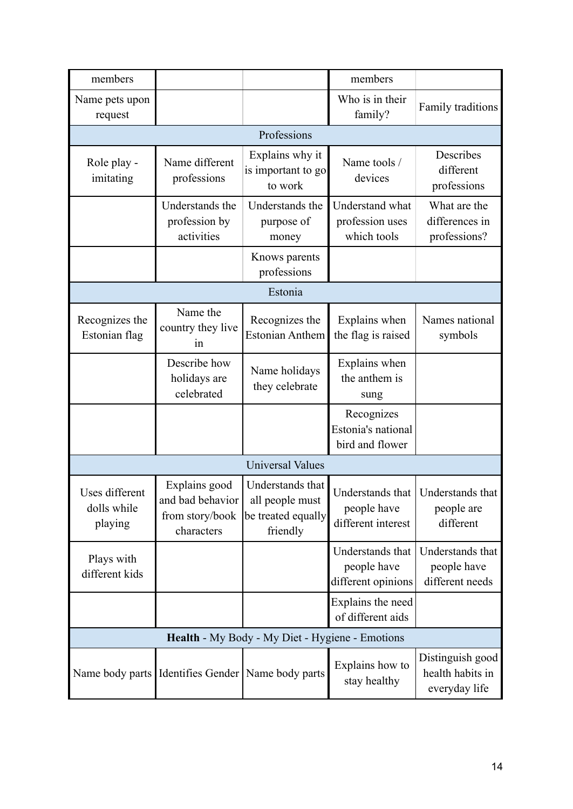| members                                         |                                                                    |                                                                       | members                                               |                                                                |
|-------------------------------------------------|--------------------------------------------------------------------|-----------------------------------------------------------------------|-------------------------------------------------------|----------------------------------------------------------------|
| Name pets upon<br>request                       |                                                                    |                                                                       | Who is in their<br>family?                            | Family traditions                                              |
|                                                 |                                                                    | Professions                                                           |                                                       |                                                                |
| Role play -<br>imitating                        | Name different<br>professions                                      | Explains why it<br>is important to go<br>to work                      | Name tools /<br>devices                               | Describes<br>different<br>professions                          |
|                                                 | Understands the<br>profession by<br>activities                     | Understands the<br>purpose of<br>money                                | Understand what<br>profession uses<br>which tools     | What are the<br>differences in<br>professions?                 |
|                                                 |                                                                    | Knows parents<br>professions                                          |                                                       |                                                                |
|                                                 |                                                                    | Estonia                                                               |                                                       |                                                                |
| Recognizes the<br>Estonian flag                 | Name the<br>country they live<br>in                                | Recognizes the<br><b>Estonian Anthem</b>                              | Explains when<br>the flag is raised                   | Names national<br>symbols                                      |
|                                                 | Describe how<br>holidays are<br>celebrated                         | Name holidays<br>they celebrate                                       | Explains when<br>the anthem is<br>sung                |                                                                |
|                                                 |                                                                    |                                                                       | Recognizes<br>Estonia's national<br>bird and flower   |                                                                |
| <b>Universal Values</b>                         |                                                                    |                                                                       |                                                       |                                                                |
| Uses different<br>dolls while<br>playing        | Explains good<br>and bad behavior<br>from story/book<br>characters | Understands that<br>all people must<br>be treated equally<br>friendly | people have<br>different interest                     | Understands that   Understands that<br>people are<br>different |
| Plays with<br>different kids                    |                                                                    |                                                                       | Understands that<br>people have<br>different opinions | Understands that<br>people have<br>different needs             |
|                                                 |                                                                    |                                                                       | Explains the need<br>of different aids                |                                                                |
| Health - My Body - My Diet - Hygiene - Emotions |                                                                    |                                                                       |                                                       |                                                                |
|                                                 | Name body parts I Identifies Gender   Name body parts              |                                                                       | Explains how to<br>stay healthy                       | Distinguish good<br>health habits in<br>everyday life          |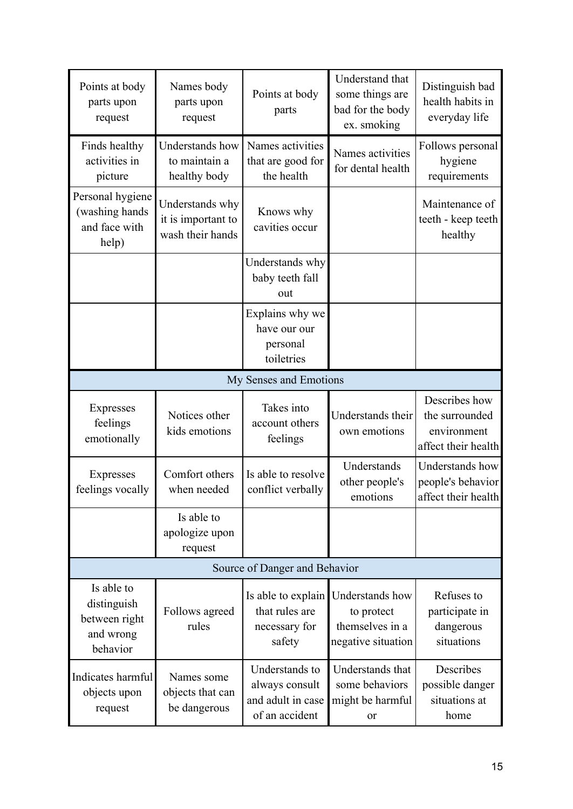| Points at body<br>parts upon<br>request                             | Names body<br>parts upon<br>request                       | Points at body<br>parts                                                 | Understand that<br>some things are<br>bad for the body<br>ex. smoking  | Distinguish bad<br>health habits in<br>everyday life                  |
|---------------------------------------------------------------------|-----------------------------------------------------------|-------------------------------------------------------------------------|------------------------------------------------------------------------|-----------------------------------------------------------------------|
| Finds healthy<br>activities in<br>picture                           | Understands how<br>to maintain a<br>healthy body          | Names activities<br>that are good for<br>the health                     | Names activities<br>for dental health                                  | Follows personal<br>hygiene<br>requirements                           |
| Personal hygiene<br>(washing hands<br>and face with<br>help)        | Understands why<br>it is important to<br>wash their hands | Knows why<br>cavities occur                                             |                                                                        | Maintenance of<br>teeth - keep teeth<br>healthy                       |
|                                                                     |                                                           | Understands why<br>baby teeth fall<br>out                               |                                                                        |                                                                       |
|                                                                     |                                                           | Explains why we<br>have our our<br>personal<br>toiletries               |                                                                        |                                                                       |
|                                                                     |                                                           | My Senses and Emotions                                                  |                                                                        |                                                                       |
| Expresses<br>feelings<br>emotionally                                | Notices other<br>kids emotions                            | Takes into<br>account others<br>feelings                                | Understands their<br>own emotions                                      | Describes how<br>the surrounded<br>environment<br>affect their health |
| Expresses<br>feelings vocally                                       | Comfort others<br>when needed                             | Is able to resolve<br>conflict verbally                                 | Understands<br>other people's<br>emotions                              | Understands how<br>people's behavior<br>affect their health           |
|                                                                     | Is able to<br>apologize upon<br>request                   |                                                                         |                                                                        |                                                                       |
|                                                                     |                                                           | Source of Danger and Behavior                                           |                                                                        |                                                                       |
| Is able to<br>distinguish<br>between right<br>and wrong<br>behavior | Follows agreed<br>rules                                   | Is able to explain<br>that rules are<br>necessary for<br>safety         | Understands how<br>to protect<br>themselves in a<br>negative situation | Refuses to<br>participate in<br>dangerous<br>situations               |
| Indicates harmful<br>objects upon<br>request                        | Names some<br>objects that can<br>be dangerous            | Understands to<br>always consult<br>and adult in case<br>of an accident | Understands that<br>some behaviors<br>might be harmful<br>or           | Describes<br>possible danger<br>situations at<br>home                 |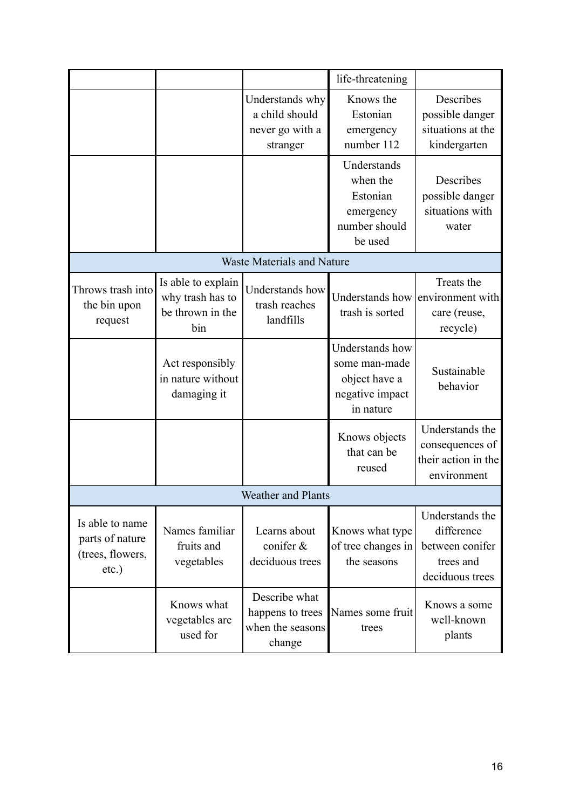|                                                                    |                                                                   |                                                                  | life-threatening                                                                  |                                                                                  |
|--------------------------------------------------------------------|-------------------------------------------------------------------|------------------------------------------------------------------|-----------------------------------------------------------------------------------|----------------------------------------------------------------------------------|
|                                                                    |                                                                   | Understands why<br>a child should<br>never go with a<br>stranger | Knows the<br>Estonian<br>emergency<br>number 112                                  | Describes<br>possible danger<br>situations at the<br>kindergarten                |
|                                                                    |                                                                   |                                                                  | Understands<br>when the<br>Estonian<br>emergency<br>number should<br>be used      | Describes<br>possible danger<br>situations with<br>water                         |
|                                                                    |                                                                   | <b>Waste Materials and Nature</b>                                |                                                                                   |                                                                                  |
| Throws trash into<br>the bin upon<br>request                       | Is able to explain<br>why trash has to<br>be thrown in the<br>bin | Understands how<br>trash reaches<br>landfills                    | trash is sorted                                                                   | Treats the<br>Understands how environment with<br>care (reuse,<br>recycle)       |
|                                                                    | Act responsibly<br>in nature without<br>damaging it               |                                                                  | Understands how<br>some man-made<br>object have a<br>negative impact<br>in nature | Sustainable<br>behavior                                                          |
|                                                                    |                                                                   |                                                                  | Knows objects<br>that can be<br>reused                                            | Understands the<br>consequences of<br>their action in the<br>environment         |
|                                                                    |                                                                   | <b>Weather and Plants</b>                                        |                                                                                   |                                                                                  |
| Is able to name<br>parts of nature<br>(trees, flowers,<br>$etc.$ ) | Names familiar<br>fruits and<br>vegetables                        | Learns about<br>conifer &<br>deciduous trees                     | Knows what type<br>of tree changes in<br>the seasons                              | Understands the<br>difference<br>between conifer<br>trees and<br>deciduous trees |
|                                                                    | Knows what<br>vegetables are<br>used for                          | Describe what<br>happens to trees<br>when the seasons<br>change  | Names some fruit<br>trees                                                         | Knows a some<br>well-known<br>plants                                             |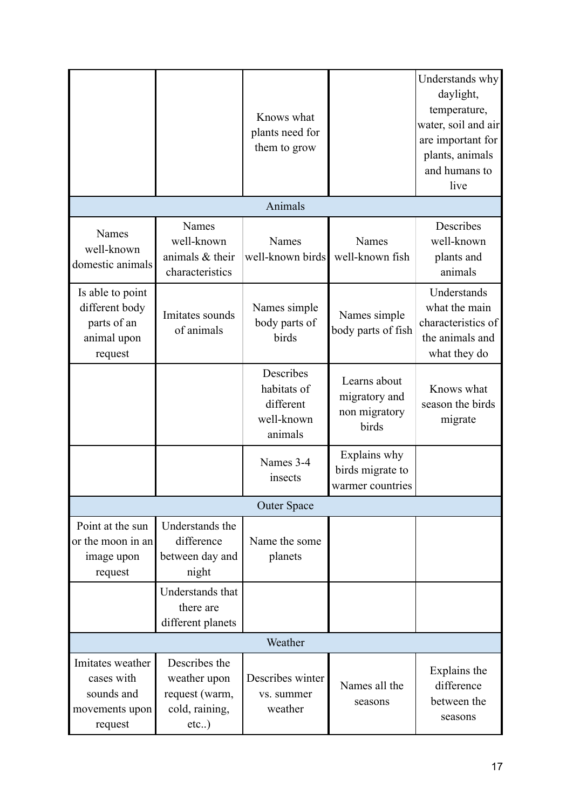|                                                                             |                                                                           | Knows what<br>plants need for<br>them to grow                  |                                                         | Understands why<br>daylight,<br>temperature,<br>water, soil and air<br>are important for<br>plants, animals<br>and humans to<br>live |
|-----------------------------------------------------------------------------|---------------------------------------------------------------------------|----------------------------------------------------------------|---------------------------------------------------------|--------------------------------------------------------------------------------------------------------------------------------------|
|                                                                             |                                                                           | Animals                                                        |                                                         |                                                                                                                                      |
| Names<br>well-known<br>domestic animals                                     | Names<br>well-known<br>animals & their<br>characteristics                 | Names<br>well-known birds                                      | Names<br>well-known fish                                | Describes<br>well-known<br>plants and<br>animals                                                                                     |
| Is able to point<br>different body<br>parts of an<br>animal upon<br>request | Imitates sounds<br>of animals                                             | Names simple<br>body parts of<br>birds                         | Names simple<br>body parts of fish                      | Understands<br>what the main<br>characteristics of<br>the animals and<br>what they do                                                |
|                                                                             |                                                                           | Describes<br>habitats of<br>different<br>well-known<br>animals | Learns about<br>migratory and<br>non migratory<br>birds | Knows what<br>season the birds<br>migrate                                                                                            |
|                                                                             |                                                                           | Names 3-4<br>insects                                           | Explains why<br>birds migrate to<br>warmer countries    |                                                                                                                                      |
|                                                                             |                                                                           | <b>Outer Space</b>                                             |                                                         |                                                                                                                                      |
| Point at the sun<br>or the moon in an<br>image upon<br>request              | Understands the<br>difference<br>between day and<br>night                 | Name the some<br>planets                                       |                                                         |                                                                                                                                      |
|                                                                             | Understands that<br>there are<br>different planets                        |                                                                |                                                         |                                                                                                                                      |
|                                                                             |                                                                           | Weather                                                        |                                                         |                                                                                                                                      |
| Imitates weather<br>cases with<br>sounds and<br>movements upon<br>request   | Describes the<br>weather upon<br>request (warm,<br>cold, raining,<br>etc) | Describes winter<br>vs. summer<br>weather                      | Names all the<br>seasons                                | Explains the<br>difference<br>between the<br>seasons                                                                                 |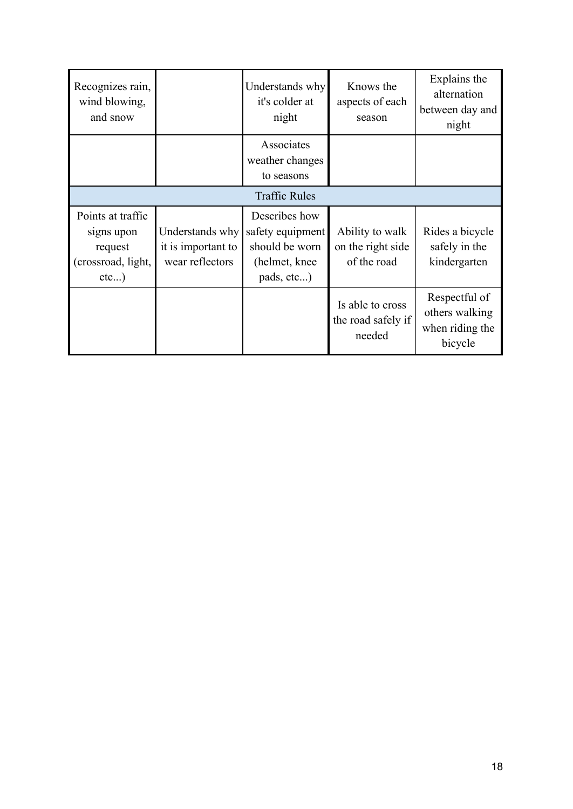| Recognizes rain,<br>wind blowing,<br>and snow                               |                                                          | Understands why<br>it's colder at<br>night                                         | Knows the<br>aspects of each<br>season              | Explains the<br>alternation<br>between day and<br>night       |  |  |
|-----------------------------------------------------------------------------|----------------------------------------------------------|------------------------------------------------------------------------------------|-----------------------------------------------------|---------------------------------------------------------------|--|--|
|                                                                             |                                                          | Associates<br>weather changes<br>to seasons                                        |                                                     |                                                               |  |  |
|                                                                             | <b>Traffic Rules</b>                                     |                                                                                    |                                                     |                                                               |  |  |
| Points at traffic<br>signs upon<br>request<br>(crossroad, light,<br>$etc$ ) | Understands why<br>it is important to<br>wear reflectors | Describes how<br>safety equipment<br>should be worn<br>(helmet, knee<br>pads, etc) | Ability to walk<br>on the right side<br>of the road | Rides a bicycle<br>safely in the<br>kindergarten              |  |  |
|                                                                             |                                                          |                                                                                    | Is able to cross<br>the road safely if<br>needed    | Respectful of<br>others walking<br>when riding the<br>bicycle |  |  |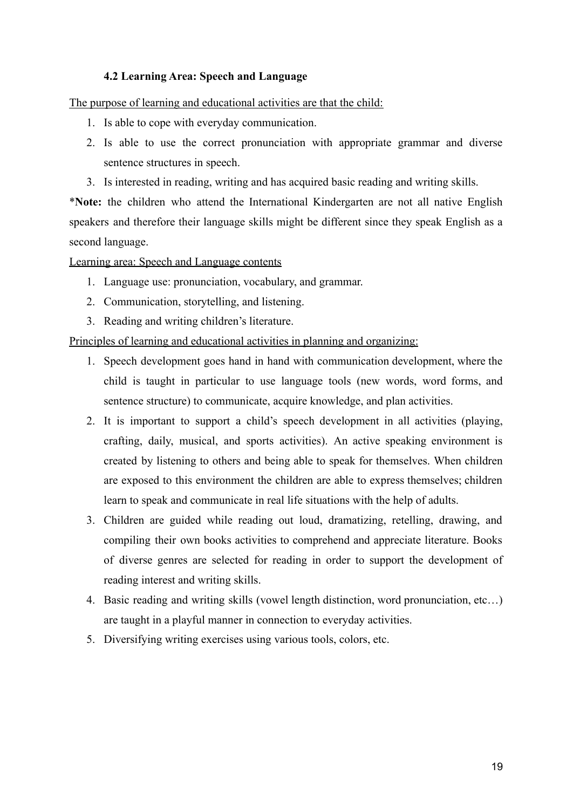#### **4.2 Learning Area: Speech and Language**

The purpose of learning and educational activities are that the child:

- 1. Is able to cope with everyday communication.
- 2. Is able to use the correct pronunciation with appropriate grammar and diverse sentence structures in speech.
- 3. Is interested in reading, writing and has acquired basic reading and writing skills.

\***Note:** the children who attend the International Kindergarten are not all native English speakers and therefore their language skills might be different since they speak English as a second language.

Learning area: Speech and Language contents

- 1. Language use: pronunciation, vocabulary, and grammar.
- 2. Communication, storytelling, and listening.
- 3. Reading and writing children's literature.

#### Principles of learning and educational activities in planning and organizing:

- 1. Speech development goes hand in hand with communication development, where the child is taught in particular to use language tools (new words, word forms, and sentence structure) to communicate, acquire knowledge, and plan activities.
- 2. It is important to support a child's speech development in all activities (playing, crafting, daily, musical, and sports activities). An active speaking environment is created by listening to others and being able to speak for themselves. When children are exposed to this environment the children are able to express themselves; children learn to speak and communicate in real life situations with the help of adults.
- 3. Children are guided while reading out loud, dramatizing, retelling, drawing, and compiling their own books activities to comprehend and appreciate literature. Books of diverse genres are selected for reading in order to support the development of reading interest and writing skills.
- 4. Basic reading and writing skills (vowel length distinction, word pronunciation, etc…) are taught in a playful manner in connection to everyday activities.
- 5. Diversifying writing exercises using various tools, colors, etc.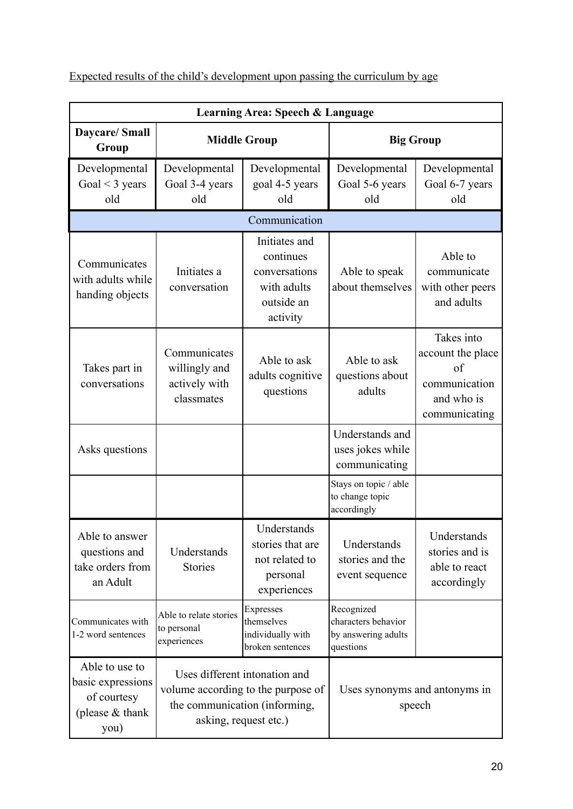| Expected results of the child's development upon passing the curriculum by age |  |
|--------------------------------------------------------------------------------|--|
|                                                                                |  |

|                                                                                 | Learning Area: Speech & Language                             |                                                                                                                               |                                                                       |                                                                                       |  |
|---------------------------------------------------------------------------------|--------------------------------------------------------------|-------------------------------------------------------------------------------------------------------------------------------|-----------------------------------------------------------------------|---------------------------------------------------------------------------------------|--|
| Daycare/ Small<br>Group                                                         |                                                              | <b>Middle Group</b>                                                                                                           |                                                                       | <b>Big Group</b>                                                                      |  |
| Developmental<br>Goal $<$ 3 years<br>old                                        | Developmental<br>Goal 3-4 years<br>old                       | Developmental<br>goal 4-5 years<br>old                                                                                        | Developmental<br>Goal 5-6 years<br>old                                | Developmental<br>Goal 6-7 years<br>old                                                |  |
|                                                                                 |                                                              | Communication                                                                                                                 |                                                                       |                                                                                       |  |
| Communicates<br>with adults while<br>handing objects                            | Initiates a<br>conversation                                  | Initiates and<br>continues<br>conversations<br>with adults<br>outside an<br>activity                                          | Able to speak<br>about themselves                                     | Able to<br>communicate<br>with other peers<br>and adults                              |  |
| Takes part in<br>conversations                                                  | Communicates<br>willingly and<br>actively with<br>classmates | Able to ask<br>adults cognitive<br>questions                                                                                  | Able to ask<br>questions about<br>adults                              | Takes into<br>account the place<br>of<br>communication<br>and who is<br>communicating |  |
| Asks questions                                                                  |                                                              |                                                                                                                               | Understands and<br>uses jokes while<br>communicating                  |                                                                                       |  |
|                                                                                 |                                                              |                                                                                                                               | Stays on topic / able<br>to change topic<br>accordingly               |                                                                                       |  |
| Able to answer<br>questions and<br>take orders from<br>an Adult                 | Understands<br><b>Stories</b>                                | Understands<br>stories that are<br>not related to<br>personal<br>experiences                                                  | Understands<br>stories and the<br>event sequence                      | Understands<br>stories and is<br>able to react<br>accordingly                         |  |
| Communicates with<br>1-2 word sentences                                         | Able to relate stories<br>to personal<br>experiences         | Expresses<br>themselves<br>individually with<br>broken sentences                                                              | Recognized<br>characters behavior<br>by answering adults<br>questions |                                                                                       |  |
| Able to use to<br>basic expressions<br>of courtesy<br>(please $&$ thank<br>you) |                                                              | Uses different intonation and<br>volume according to the purpose of<br>the communication (informing,<br>asking, request etc.) |                                                                       | Uses synonyms and antonyms in<br>speech                                               |  |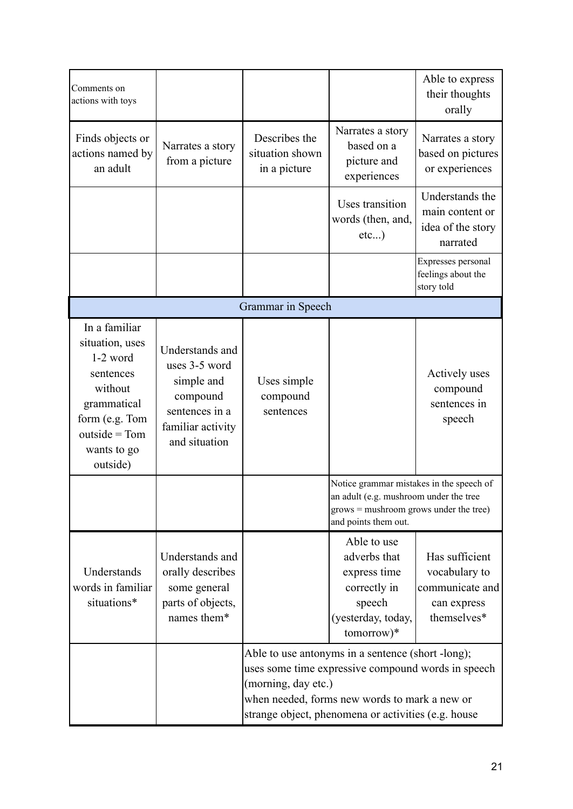| Comments on<br>actions with toys                                                                                                                      |                                                                                                                    |                                                                                                                                                                                                                                        |                                                                                                                                                        | Able to express<br>their thoughts<br>orally                                      |
|-------------------------------------------------------------------------------------------------------------------------------------------------------|--------------------------------------------------------------------------------------------------------------------|----------------------------------------------------------------------------------------------------------------------------------------------------------------------------------------------------------------------------------------|--------------------------------------------------------------------------------------------------------------------------------------------------------|----------------------------------------------------------------------------------|
| Finds objects or<br>actions named by<br>an adult                                                                                                      | Narrates a story<br>from a picture                                                                                 | Describes the<br>situation shown<br>in a picture                                                                                                                                                                                       | Narrates a story<br>based on a<br>picture and<br>experiences                                                                                           | Narrates a story<br>based on pictures<br>or experiences                          |
|                                                                                                                                                       |                                                                                                                    |                                                                                                                                                                                                                                        | Uses transition<br>words (then, and,<br>etc)                                                                                                           | Understands the<br>main content or<br>idea of the story<br>narrated              |
|                                                                                                                                                       |                                                                                                                    |                                                                                                                                                                                                                                        |                                                                                                                                                        | Expresses personal<br>feelings about the<br>story told                           |
|                                                                                                                                                       |                                                                                                                    | Grammar in Speech                                                                                                                                                                                                                      |                                                                                                                                                        |                                                                                  |
| In a familiar<br>situation, uses<br>$1-2$ word<br>sentences<br>without<br>grammatical<br>form (e.g. Tom<br>$outside = Tom$<br>wants to go<br>outside) | Understands and<br>uses 3-5 word<br>simple and<br>compound<br>sentences in a<br>familiar activity<br>and situation | Uses simple<br>compound<br>sentences                                                                                                                                                                                                   |                                                                                                                                                        | Actively uses<br>compound<br>sentences in<br>speech                              |
|                                                                                                                                                       |                                                                                                                    |                                                                                                                                                                                                                                        | Notice grammar mistakes in the speech of<br>an adult (e.g. mushroom under the tree<br>$grows =$ mushroom grows under the tree)<br>and points them out. |                                                                                  |
| Understands<br>words in familiar<br>situations*                                                                                                       | Understands and<br>orally describes<br>some general<br>parts of objects,<br>names them*                            |                                                                                                                                                                                                                                        | Able to use<br>adverbs that<br>express time<br>correctly in<br>speech<br>(yesterday, today,<br>tomorrow)*                                              | Has sufficient<br>vocabulary to<br>communicate and<br>can express<br>themselves* |
|                                                                                                                                                       |                                                                                                                    | Able to use antonyms in a sentence (short -long);<br>uses some time expressive compound words in speech<br>(morning, day etc.)<br>when needed, forms new words to mark a new or<br>strange object, phenomena or activities (e.g. house |                                                                                                                                                        |                                                                                  |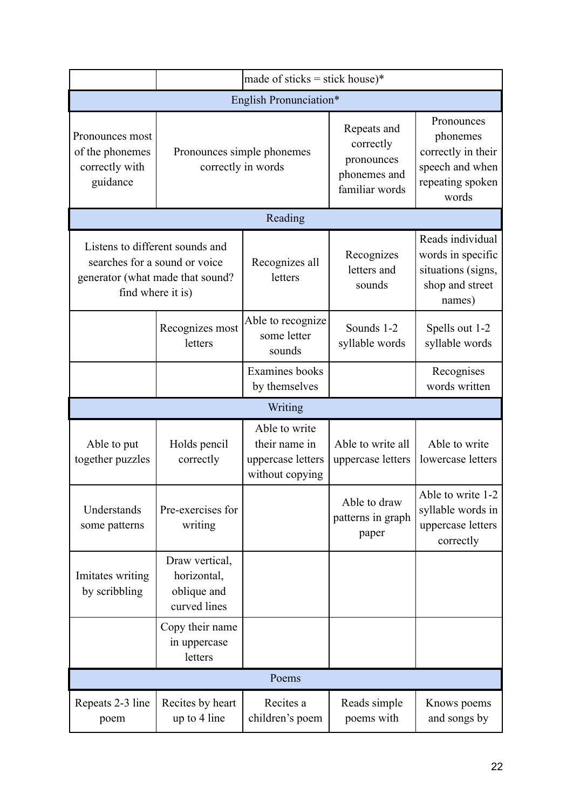|                                                                  |                                                              | made of sticks = stick house)*                                         |                                                                          |                                                                                              |  |
|------------------------------------------------------------------|--------------------------------------------------------------|------------------------------------------------------------------------|--------------------------------------------------------------------------|----------------------------------------------------------------------------------------------|--|
| English Pronunciation*                                           |                                                              |                                                                        |                                                                          |                                                                                              |  |
| Pronounces most<br>of the phonemes<br>correctly with<br>guidance | Pronounces simple phonemes<br>correctly in words             |                                                                        | Repeats and<br>correctly<br>pronounces<br>phonemes and<br>familiar words | Pronounces<br>phonemes<br>correctly in their<br>speech and when<br>repeating spoken<br>words |  |
|                                                                  |                                                              | Reading                                                                |                                                                          |                                                                                              |  |
| Listens to different sounds and<br>searches for a sound or voice | generator (what made that sound?<br>find where it is)        | Recognizes all<br>letters                                              | Recognizes<br>letters and<br>sounds                                      | Reads individual<br>words in specific<br>situations (signs,<br>shop and street<br>names)     |  |
|                                                                  | Recognizes most<br>letters                                   | Able to recognize<br>some letter<br>sounds                             | Sounds 1-2<br>syllable words                                             | Spells out 1-2<br>syllable words                                                             |  |
|                                                                  |                                                              | <b>Examines</b> books<br>by themselves                                 |                                                                          | Recognises<br>words written                                                                  |  |
|                                                                  |                                                              | Writing                                                                |                                                                          |                                                                                              |  |
| Able to put<br>together puzzles                                  | Holds pencil<br>correctly                                    | Able to write<br>their name in<br>uppercase letters<br>without copying | Able to write all<br>uppercase letters                                   | Able to write<br>lowercase letters                                                           |  |
| Understands<br>some patterns                                     | Pre-exercises for<br>writing                                 |                                                                        | Able to draw<br>patterns in graph<br>paper                               | Able to write 1-2<br>syllable words in<br>uppercase letters<br>correctly                     |  |
| Imitates writing<br>by scribbling                                | Draw vertical,<br>horizontal,<br>oblique and<br>curved lines |                                                                        |                                                                          |                                                                                              |  |
|                                                                  | Copy their name<br>in uppercase<br>letters                   |                                                                        |                                                                          |                                                                                              |  |
|                                                                  |                                                              | Poems                                                                  |                                                                          |                                                                                              |  |
| Repeats 2-3 line<br>poem                                         | Recites by heart<br>up to 4 line                             | Recites a<br>children's poem                                           | Reads simple<br>poems with                                               | Knows poems<br>and songs by                                                                  |  |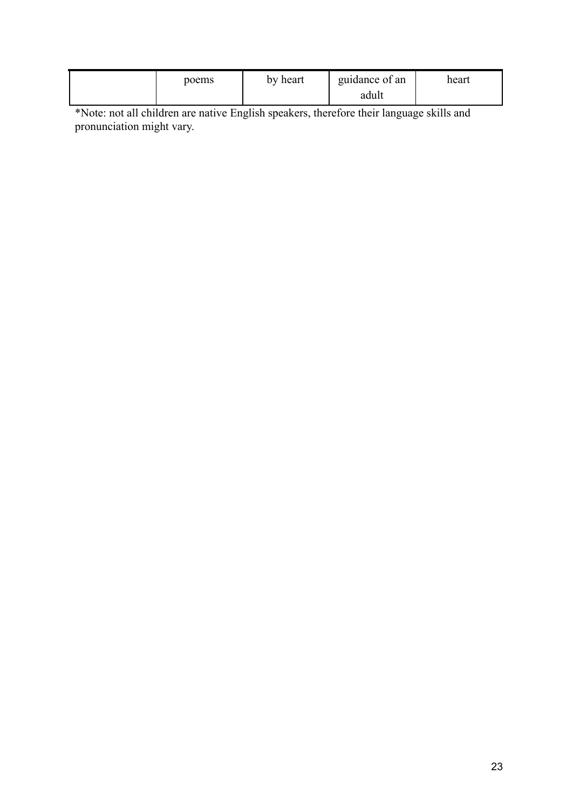| poems | by heart | guidance of an | heart |
|-------|----------|----------------|-------|
|       |          | adult          |       |

\*Note: not all children are native English speakers, therefore their language skills and pronunciation might vary.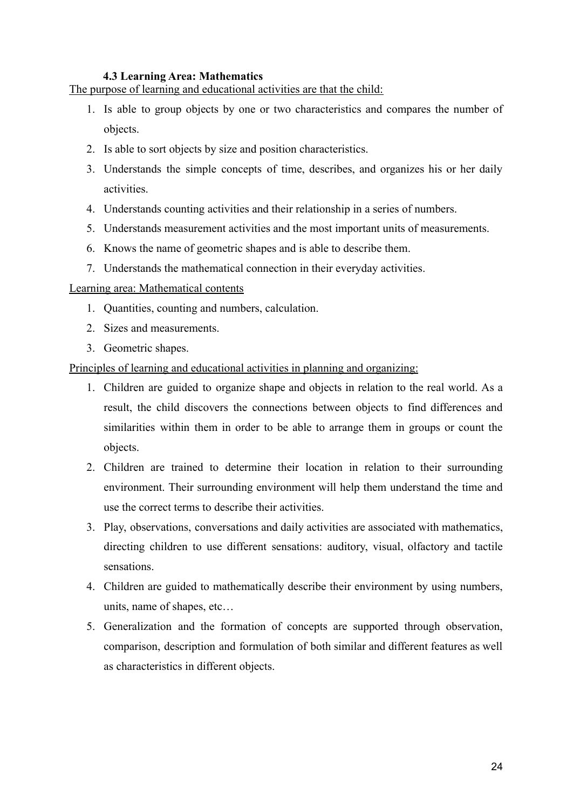#### **4.3 Learning Area: Mathematics**

The purpose of learning and educational activities are that the child:

- 1. Is able to group objects by one or two characteristics and compares the number of objects.
- 2. Is able to sort objects by size and position characteristics.
- 3. Understands the simple concepts of time, describes, and organizes his or her daily activities.
- 4. Understands counting activities and their relationship in a series of numbers.
- 5. Understands measurement activities and the most important units of measurements.
- 6. Knows the name of geometric shapes and is able to describe them.
- 7. Understands the mathematical connection in their everyday activities.

#### Learning area: Mathematical contents

- 1. Quantities, counting and numbers, calculation.
- 2. Sizes and measurements.
- 3. Geometric shapes.

Principles of learning and educational activities in planning and organizing:

- 1. Children are guided to organize shape and objects in relation to the real world. As a result, the child discovers the connections between objects to find differences and similarities within them in order to be able to arrange them in groups or count the objects.
- 2. Children are trained to determine their location in relation to their surrounding environment. Their surrounding environment will help them understand the time and use the correct terms to describe their activities.
- 3. Play, observations, conversations and daily activities are associated with mathematics, directing children to use different sensations: auditory, visual, olfactory and tactile sensations.
- 4. Children are guided to mathematically describe their environment by using numbers, units, name of shapes, etc…
- 5. Generalization and the formation of concepts are supported through observation, comparison, description and formulation of both similar and different features as well as characteristics in different objects.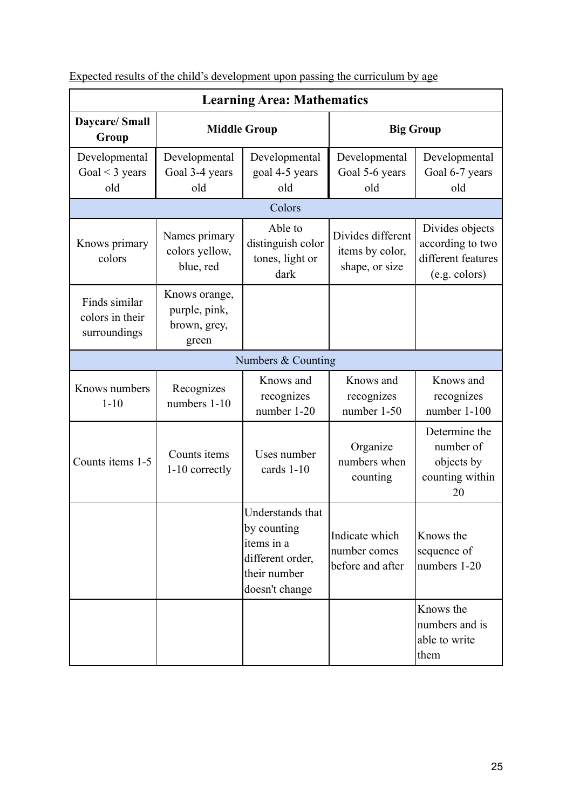| <b>Learning Area: Mathematics</b>                |                                                         |                                                                                                     |                                                        |                                                                            |  |
|--------------------------------------------------|---------------------------------------------------------|-----------------------------------------------------------------------------------------------------|--------------------------------------------------------|----------------------------------------------------------------------------|--|
| <b>Daycare/Small</b><br>Group                    | <b>Middle Group</b>                                     |                                                                                                     | <b>Big Group</b>                                       |                                                                            |  |
| Developmental<br>Goal $<$ 3 years<br>old         | Developmental<br>Goal 3-4 years<br>old                  | Developmental<br>goal 4-5 years<br>old                                                              | Developmental<br>Goal 5-6 years<br>old                 | Developmental<br>Goal 6-7 years<br>old                                     |  |
|                                                  | Colors                                                  |                                                                                                     |                                                        |                                                                            |  |
| Knows primary<br>colors                          | Names primary<br>colors yellow,<br>blue, red            | Able to<br>distinguish color<br>tones, light or<br>dark                                             | Divides different<br>items by color,<br>shape, or size | Divides objects<br>according to two<br>different features<br>(e.g. colors) |  |
| Finds similar<br>colors in their<br>surroundings | Knows orange,<br>purple, pink,<br>brown, grey,<br>green |                                                                                                     |                                                        |                                                                            |  |
|                                                  |                                                         | Numbers & Counting                                                                                  |                                                        |                                                                            |  |
| Knows numbers<br>$1 - 10$                        | Recognizes<br>numbers 1-10                              | Knows and<br>recognizes<br>number 1-20                                                              | Knows and<br>recognizes<br>number 1-50                 | Knows and<br>recognizes<br>number 1-100                                    |  |
| Counts items 1-5                                 | Counts items<br>1-10 correctly                          | Uses number<br>cards 1-10                                                                           | Organize<br>numbers when<br>counting                   | Determine the<br>number of<br>objects by<br>counting within<br>20          |  |
|                                                  |                                                         | Understands that<br>by counting<br>items in a<br>different order,<br>their number<br>doesn't change | Indicate which<br>number comes<br>before and after     | Knows the<br>sequence of<br>numbers 1-20                                   |  |
|                                                  |                                                         |                                                                                                     |                                                        | Knows the<br>numbers and is<br>able to write<br>them                       |  |

Expected results of the child's development upon passing the curriculum by age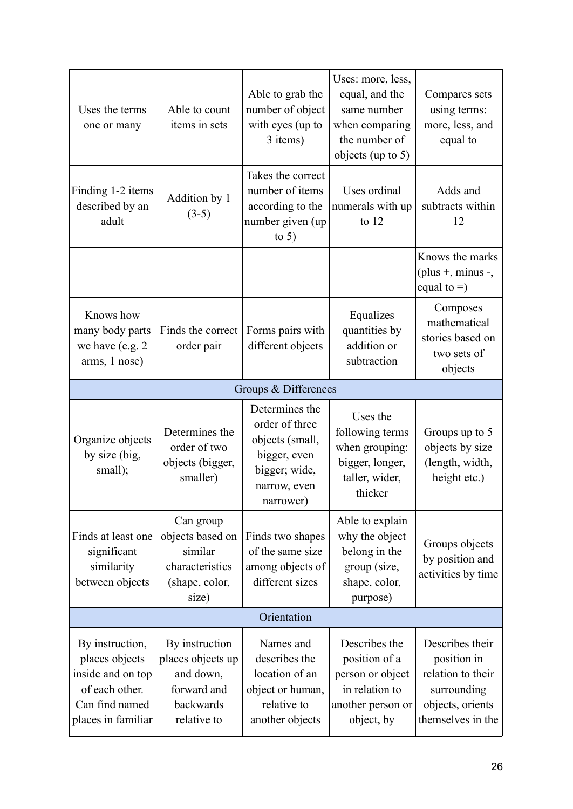| Uses the terms<br>one or many                                      | Able to count<br>items in sets                                                         | Able to grab the<br>number of object<br>with eyes (up to<br>3 items)                     | Uses: more, less,<br>equal, and the<br>same number<br>when comparing<br>the number of<br>objects (up to $5$ ) | Compares sets<br>using terms:<br>more, less, and<br>equal to           |
|--------------------------------------------------------------------|----------------------------------------------------------------------------------------|------------------------------------------------------------------------------------------|---------------------------------------------------------------------------------------------------------------|------------------------------------------------------------------------|
| Finding 1-2 items<br>described by an<br>adult                      | Addition by 1<br>$(3-5)$                                                               | Takes the correct<br>number of items<br>according to the<br>number given (up)<br>to $5)$ | Uses ordinal<br>numerals with up<br>to $12$                                                                   | Adds and<br>subtracts within<br>12                                     |
|                                                                    |                                                                                        |                                                                                          |                                                                                                               | Knows the marks<br>(plus $+$ , minus $-$ ,<br>equal to $=$ )           |
| Knows how<br>many body parts<br>we have (e.g. 2)<br>arms, 1 nose)  | Finds the correct<br>order pair                                                        | Forms pairs with<br>different objects                                                    | Equalizes<br>quantities by<br>addition or<br>subtraction                                                      | Composes<br>mathematical<br>stories based on<br>two sets of<br>objects |
|                                                                    |                                                                                        | Groups & Differences                                                                     |                                                                                                               |                                                                        |
| Organize objects<br>by size (big,<br>small);                       | Determines the<br>order of two<br>objects (bigger,                                     | Determines the<br>order of three<br>objects (small,<br>bigger, even                      | Uses the<br>following terms<br>when grouping:<br>bigger, longer,                                              | Groups up to 5<br>objects by size<br>(length, width,                   |
|                                                                    | smaller)                                                                               | bigger; wide,<br>narrow, even<br>narrower)                                               | taller, wider,<br>thicker                                                                                     | height etc.)                                                           |
| Finds at least one<br>significant<br>similarity<br>between objects | Can group<br>objects based on<br>similar<br>characteristics<br>(shape, color,<br>size) | Finds two shapes<br>of the same size<br>among objects of<br>different sizes              | Able to explain<br>why the object<br>belong in the<br>group (size,<br>shape, color,<br>purpose)               | Groups objects<br>by position and<br>activities by time                |
|                                                                    |                                                                                        | Orientation                                                                              |                                                                                                               |                                                                        |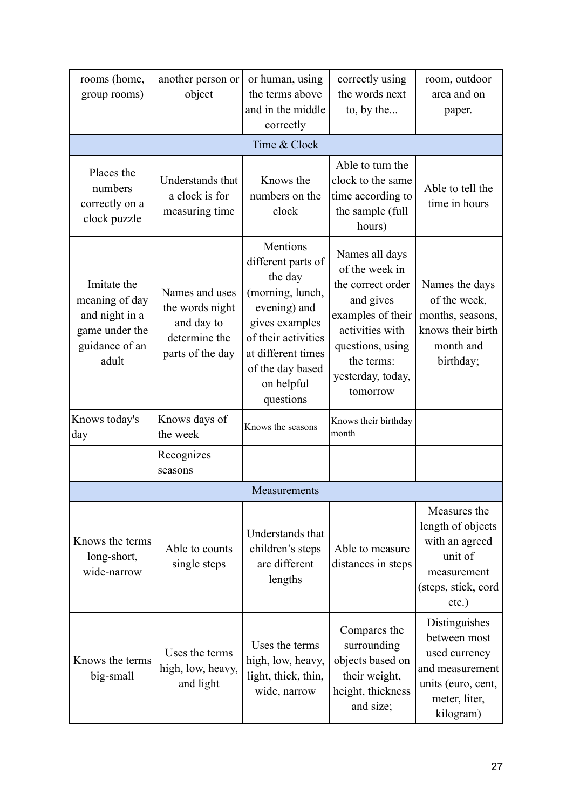| rooms (home,<br>group rooms)                                                                 | another person or<br>object                                                          | or human, using<br>the terms above<br>and in the middle<br>correctly                                                                                                                        | correctly using<br>the words next<br>to, by the                                                                                                                               | room, outdoor<br>area and on<br>paper.                                                                                |
|----------------------------------------------------------------------------------------------|--------------------------------------------------------------------------------------|---------------------------------------------------------------------------------------------------------------------------------------------------------------------------------------------|-------------------------------------------------------------------------------------------------------------------------------------------------------------------------------|-----------------------------------------------------------------------------------------------------------------------|
|                                                                                              |                                                                                      | Time & Clock                                                                                                                                                                                |                                                                                                                                                                               |                                                                                                                       |
| Places the<br>numbers<br>correctly on a<br>clock puzzle                                      | Understands that<br>a clock is for<br>measuring time                                 | Knows the<br>numbers on the<br>clock                                                                                                                                                        | Able to turn the<br>clock to the same<br>time according to<br>the sample (full<br>hours)                                                                                      | Able to tell the<br>time in hours                                                                                     |
| Imitate the<br>meaning of day<br>and night in a<br>game under the<br>guidance of an<br>adult | Names and uses<br>the words night<br>and day to<br>determine the<br>parts of the day | Mentions<br>different parts of<br>the day<br>(morning, lunch,<br>evening) and<br>gives examples<br>of their activities<br>at different times<br>of the day based<br>on helpful<br>questions | Names all days<br>of the week in<br>the correct order<br>and gives<br>examples of their<br>activities with<br>questions, using<br>the terms:<br>yesterday, today,<br>tomorrow | Names the days<br>of the week,<br>months, seasons,<br>knows their birth<br>month and<br>birthday;                     |
| Knows today's<br>day                                                                         | Knows days of<br>the week                                                            | Knows the seasons                                                                                                                                                                           | Knows their birthday<br>month                                                                                                                                                 |                                                                                                                       |
|                                                                                              | Recognizes<br>seasons                                                                |                                                                                                                                                                                             |                                                                                                                                                                               |                                                                                                                       |
|                                                                                              |                                                                                      | Measurements                                                                                                                                                                                |                                                                                                                                                                               |                                                                                                                       |
| Knows the terms<br>long-short,<br>wide-narrow                                                | Able to counts<br>single steps                                                       | Understands that<br>children's steps<br>are different<br>lengths                                                                                                                            | Able to measure<br>distances in steps                                                                                                                                         | Measures the<br>length of objects<br>with an agreed<br>unit of<br>measurement<br>(steps, stick, cord<br>$etc.$ )      |
| Knows the terms<br>big-small                                                                 | Uses the terms<br>high, low, heavy,<br>and light                                     | Uses the terms<br>high, low, heavy,<br>light, thick, thin,<br>wide, narrow                                                                                                                  | Compares the<br>surrounding<br>objects based on<br>their weight,<br>height, thickness<br>and size;                                                                            | Distinguishes<br>between most<br>used currency<br>and measurement<br>units (euro, cent,<br>meter, liter,<br>kilogram) |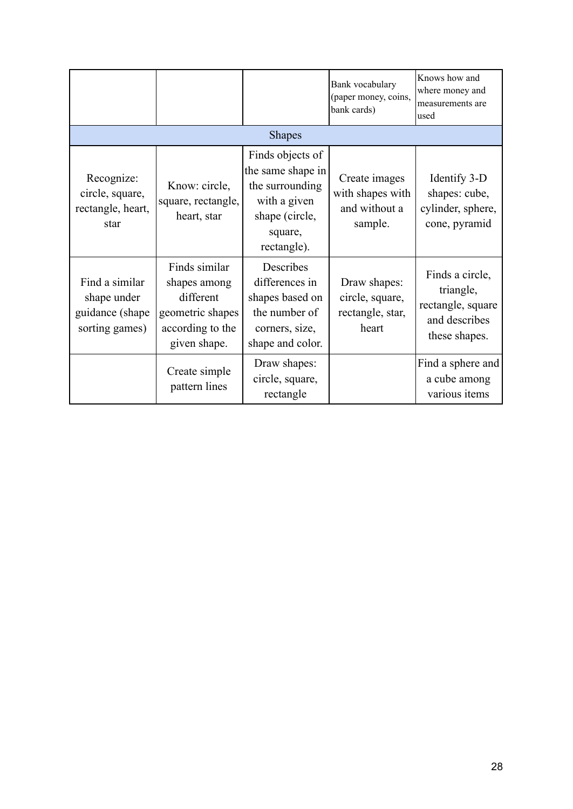|                                                                    |                                                                                                    |                                                                                                                      | Bank vocabulary<br>(paper money, coins,<br>bank cards)        | Knows how and<br>where money and<br>measurements are<br>used                        |  |
|--------------------------------------------------------------------|----------------------------------------------------------------------------------------------------|----------------------------------------------------------------------------------------------------------------------|---------------------------------------------------------------|-------------------------------------------------------------------------------------|--|
|                                                                    | <b>Shapes</b>                                                                                      |                                                                                                                      |                                                               |                                                                                     |  |
| Recognize:<br>circle, square,<br>rectangle, heart,<br>star         | Know: circle,<br>square, rectangle,<br>heart, star                                                 | Finds objects of<br>the same shape in<br>the surrounding<br>with a given<br>shape (circle,<br>square,<br>rectangle). | Create images<br>with shapes with<br>and without a<br>sample. | Identify 3-D<br>shapes: cube,<br>cylinder, sphere,<br>cone, pyramid                 |  |
| Find a similar<br>shape under<br>guidance (shape<br>sorting games) | Finds similar<br>shapes among<br>different<br>geometric shapes<br>according to the<br>given shape. | Describes<br>differences in<br>shapes based on<br>the number of<br>corners, size,<br>shape and color.                | Draw shapes:<br>circle, square,<br>rectangle, star,<br>heart  | Finds a circle,<br>triangle,<br>rectangle, square<br>and describes<br>these shapes. |  |
|                                                                    | Create simple<br>pattern lines                                                                     | Draw shapes:<br>circle, square,<br>rectangle                                                                         |                                                               | Find a sphere and<br>a cube among<br>various items                                  |  |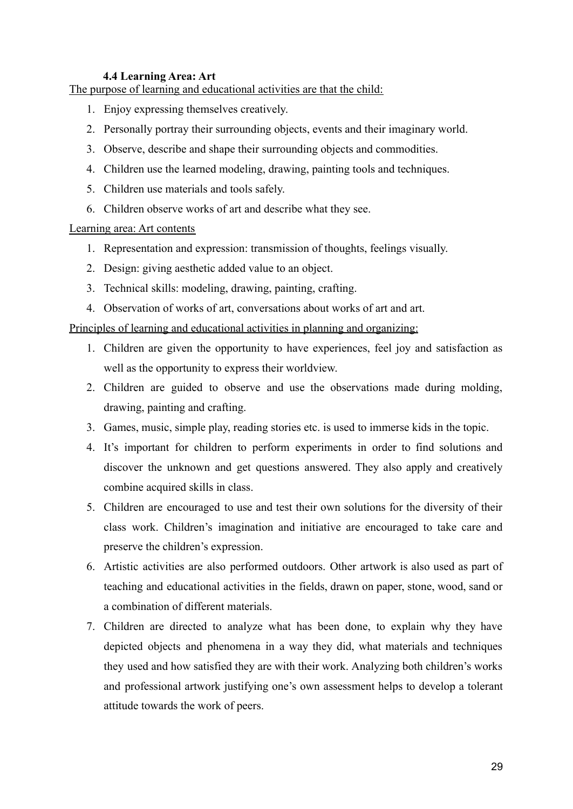#### **4.4 Learning Area: Art**

The purpose of learning and educational activities are that the child:

- 1. Enjoy expressing themselves creatively.
- 2. Personally portray their surrounding objects, events and their imaginary world.
- 3. Observe, describe and shape their surrounding objects and commodities.
- 4. Children use the learned modeling, drawing, painting tools and techniques.
- 5. Children use materials and tools safely.
- 6. Children observe works of art and describe what they see.

#### Learning area: Art contents

- 1. Representation and expression: transmission of thoughts, feelings visually.
- 2. Design: giving aesthetic added value to an object.
- 3. Technical skills: modeling, drawing, painting, crafting.
- 4. Observation of works of art, conversations about works of art and art.

Principles of learning and educational activities in planning and organizing:

- 1. Children are given the opportunity to have experiences, feel joy and satisfaction as well as the opportunity to express their worldview.
- 2. Children are guided to observe and use the observations made during molding, drawing, painting and crafting.
- 3. Games, music, simple play, reading stories etc. is used to immerse kids in the topic.
- 4. It's important for children to perform experiments in order to find solutions and discover the unknown and get questions answered. They also apply and creatively combine acquired skills in class.
- 5. Children are encouraged to use and test their own solutions for the diversity of their class work. Children's imagination and initiative are encouraged to take care and preserve the children's expression.
- 6. Artistic activities are also performed outdoors. Other artwork is also used as part of teaching and educational activities in the fields, drawn on paper, stone, wood, sand or a combination of different materials.
- 7. Children are directed to analyze what has been done, to explain why they have depicted objects and phenomena in a way they did, what materials and techniques they used and how satisfied they are with their work. Analyzing both children's works and professional artwork justifying one's own assessment helps to develop a tolerant attitude towards the work of peers.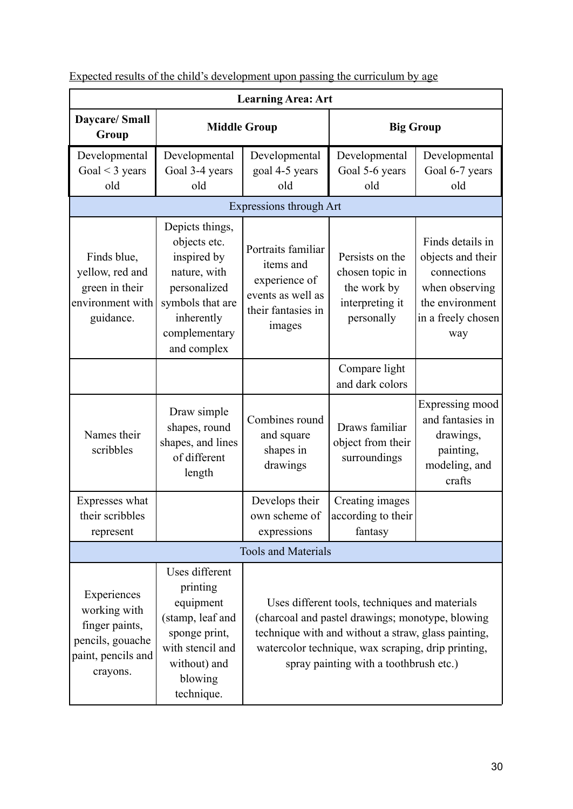| <b>Learning Area: Art</b>                                                                           |                                                                                                                                                  |                                                                                                       |                                                                                                                                                                                                                                                           |                                                                                                                        |
|-----------------------------------------------------------------------------------------------------|--------------------------------------------------------------------------------------------------------------------------------------------------|-------------------------------------------------------------------------------------------------------|-----------------------------------------------------------------------------------------------------------------------------------------------------------------------------------------------------------------------------------------------------------|------------------------------------------------------------------------------------------------------------------------|
| <b>Daycare/Small</b><br>Group                                                                       | <b>Middle Group</b>                                                                                                                              |                                                                                                       | <b>Big Group</b>                                                                                                                                                                                                                                          |                                                                                                                        |
| Developmental<br>Goal $\leq$ 3 years<br>old                                                         | Developmental<br>Goal 3-4 years<br>old                                                                                                           | Developmental<br>goal 4-5 years<br>old                                                                | Developmental<br>Goal 5-6 years<br>old                                                                                                                                                                                                                    | Developmental<br>Goal 6-7 years<br>old                                                                                 |
|                                                                                                     |                                                                                                                                                  | <b>Expressions through Art</b>                                                                        |                                                                                                                                                                                                                                                           |                                                                                                                        |
| Finds blue,<br>yellow, red and<br>green in their<br>environment with<br>guidance.                   | Depicts things,<br>objects etc.<br>inspired by<br>nature, with<br>personalized<br>symbols that are<br>inherently<br>complementary<br>and complex | Portraits familiar<br>items and<br>experience of<br>events as well as<br>their fantasies in<br>images | Persists on the<br>chosen topic in<br>the work by<br>interpreting it<br>personally                                                                                                                                                                        | Finds details in<br>objects and their<br>connections<br>when observing<br>the environment<br>in a freely chosen<br>way |
|                                                                                                     |                                                                                                                                                  |                                                                                                       | Compare light<br>and dark colors                                                                                                                                                                                                                          |                                                                                                                        |
| Names their<br>scribbles                                                                            | Draw simple<br>shapes, round<br>shapes, and lines<br>of different<br>length                                                                      | Combines round<br>and square<br>shapes in<br>drawings                                                 | Draws familiar<br>object from their<br>surroundings                                                                                                                                                                                                       | Expressing mood<br>and fantasies in<br>drawings,<br>painting,<br>modeling, and<br>crafts                               |
| Expresses what<br>their scribbles<br>represent                                                      |                                                                                                                                                  | Develops their<br>expressions                                                                         | Creating images<br>own scheme of according to their<br>fantasy                                                                                                                                                                                            |                                                                                                                        |
|                                                                                                     |                                                                                                                                                  | <b>Tools and Materials</b>                                                                            |                                                                                                                                                                                                                                                           |                                                                                                                        |
| Experiences<br>working with<br>finger paints,<br>pencils, gouache<br>paint, pencils and<br>crayons. | Uses different<br>printing<br>equipment<br>(stamp, leaf and<br>sponge print,<br>with stencil and<br>without) and<br>blowing<br>technique.        |                                                                                                       | Uses different tools, techniques and materials<br>(charcoal and pastel drawings; monotype, blowing<br>technique with and without a straw, glass painting,<br>watercolor technique, wax scraping, drip printing,<br>spray painting with a toothbrush etc.) |                                                                                                                        |

Expected results of the child's development upon passing the curriculum by age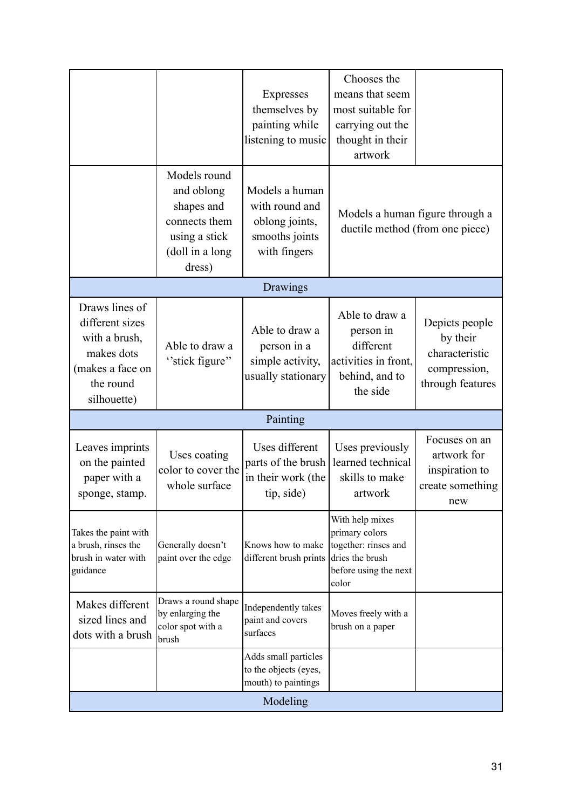|                                                                                                                  |                                                                                                         | Expresses<br>themselves by<br>painting while<br>listening to music                   | Chooses the<br>means that seem<br>most suitable for<br>carrying out the<br>thought in their<br>artwork         |                                                                                  |
|------------------------------------------------------------------------------------------------------------------|---------------------------------------------------------------------------------------------------------|--------------------------------------------------------------------------------------|----------------------------------------------------------------------------------------------------------------|----------------------------------------------------------------------------------|
|                                                                                                                  | Models round<br>and oblong<br>shapes and<br>connects them<br>using a stick<br>(doll in a long<br>dress) | Models a human<br>with round and<br>oblong joints,<br>smooths joints<br>with fingers | Models a human figure through a<br>ductile method (from one piece)                                             |                                                                                  |
|                                                                                                                  |                                                                                                         | Drawings                                                                             |                                                                                                                |                                                                                  |
| Draws lines of<br>different sizes<br>with a brush,<br>makes dots<br>(makes a face on<br>the round<br>silhouette) | Able to draw a<br>"stick figure"                                                                        | Able to draw a<br>person in a<br>simple activity,<br>usually stationary              | Able to draw a<br>person in<br>different<br>activities in front,<br>behind, and to<br>the side                 | Depicts people<br>by their<br>characteristic<br>compression,<br>through features |
|                                                                                                                  |                                                                                                         | Painting                                                                             |                                                                                                                |                                                                                  |
| Leaves imprints<br>on the painted<br>paper with a<br>sponge, stamp.                                              | Uses coating<br>color to cover the<br>whole surface                                                     | Uses different<br>parts of the brush<br>in their work (the<br>tip, side)             | Uses previously<br>learned technical<br>skills to make<br>artwork                                              | Focuses on an<br>artwork for<br>inspiration to<br>create something<br>new        |
| Takes the paint with<br>a brush, rinses the<br>brush in water with<br>guidance                                   | Generally doesn't<br>paint over the edge                                                                | Knows how to make<br>different brush prints                                          | With help mixes<br>primary colors<br>together: rinses and<br>dries the brush<br>before using the next<br>color |                                                                                  |
| Makes different<br>sized lines and<br>dots with a brush                                                          | Draws a round shape<br>by enlarging the<br>color spot with a<br>brush                                   | Independently takes<br>paint and covers<br>surfaces                                  | Moves freely with a<br>brush on a paper                                                                        |                                                                                  |
|                                                                                                                  |                                                                                                         | Adds small particles<br>to the objects (eyes,<br>mouth) to paintings                 |                                                                                                                |                                                                                  |
| Modeling                                                                                                         |                                                                                                         |                                                                                      |                                                                                                                |                                                                                  |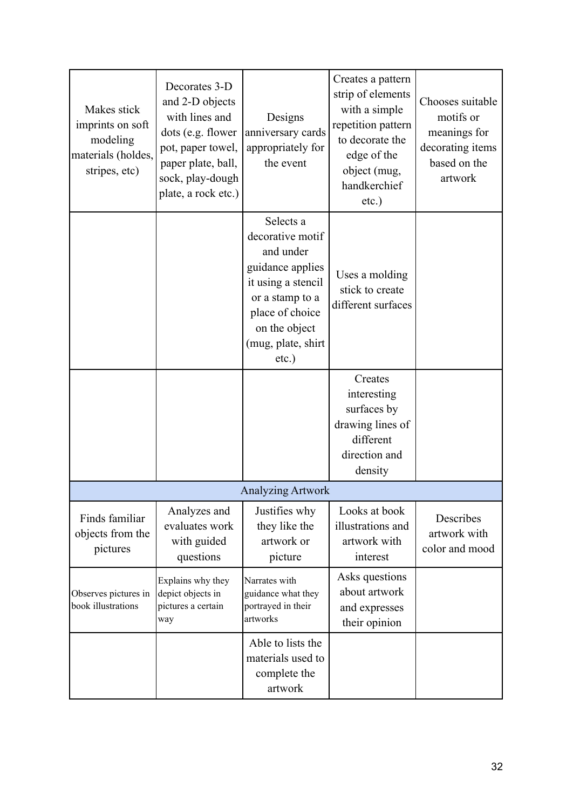| Makes stick<br>imprints on soft<br>modeling<br>materials (holdes,<br>stripes, etc) | Decorates 3-D<br>and 2-D objects<br>with lines and<br>dots (e.g. flower<br>pot, paper towel,<br>paper plate, ball,<br>sock, play-dough<br>plate, a rock etc.) | Designs<br>anniversary cards<br>appropriately for<br>the event                                                                                                             | Creates a pattern<br>strip of elements<br>with a simple<br>repetition pattern<br>to decorate the<br>edge of the<br>object (mug,<br>handkerchief<br>$etc.$ ) | Chooses suitable<br>motifs or<br>meanings for<br>decorating items<br>based on the<br>artwork |
|------------------------------------------------------------------------------------|---------------------------------------------------------------------------------------------------------------------------------------------------------------|----------------------------------------------------------------------------------------------------------------------------------------------------------------------------|-------------------------------------------------------------------------------------------------------------------------------------------------------------|----------------------------------------------------------------------------------------------|
|                                                                                    |                                                                                                                                                               | Selects a<br>decorative motif<br>and under<br>guidance applies<br>it using a stencil<br>or a stamp to a<br>place of choice<br>on the object<br>(mug, plate, shirt<br>etc.) | Uses a molding<br>stick to create<br>different surfaces                                                                                                     |                                                                                              |
|                                                                                    |                                                                                                                                                               |                                                                                                                                                                            | Creates<br>interesting<br>surfaces by<br>drawing lines of<br>different<br>direction and<br>density                                                          |                                                                                              |
|                                                                                    |                                                                                                                                                               | <b>Analyzing Artwork</b>                                                                                                                                                   |                                                                                                                                                             |                                                                                              |
| Finds familiar<br>objects from the<br>pictures                                     | Analyzes and<br>evaluates work<br>with guided<br>questions                                                                                                    | Justifies why<br>they like the<br>artwork or<br>picture                                                                                                                    | Looks at book<br>illustrations and<br>artwork with<br>interest                                                                                              | Describes<br>artwork with<br>color and mood                                                  |
| Observes pictures in<br>book illustrations                                         | Explains why they<br>depict objects in<br>pictures a certain<br>way                                                                                           | Narrates with<br>guidance what they<br>portrayed in their<br>artworks                                                                                                      | Asks questions<br>about artwork<br>and expresses<br>their opinion                                                                                           |                                                                                              |
|                                                                                    |                                                                                                                                                               | Able to lists the<br>materials used to<br>complete the<br>artwork                                                                                                          |                                                                                                                                                             |                                                                                              |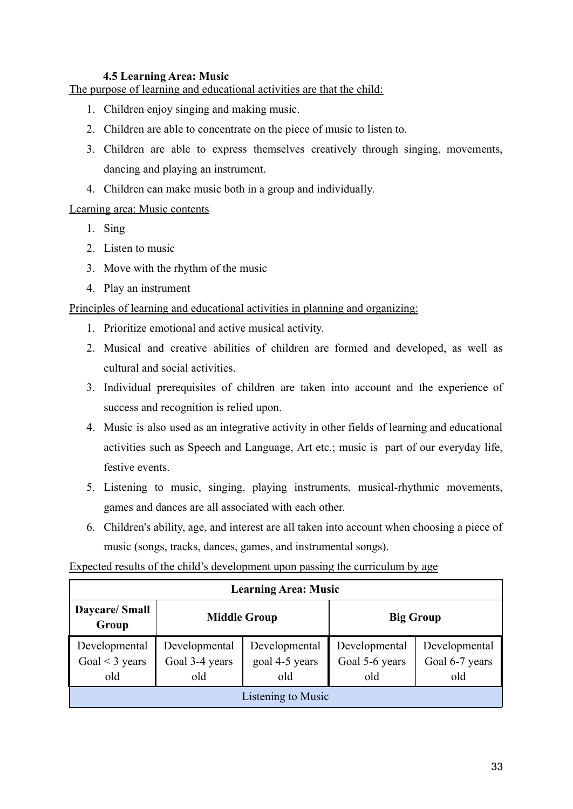#### **4.5 Learning Area: Music**

The purpose of learning and educational activities are that the child:

- 1. Children enjoy singing and making music.
- 2. Children are able to concentrate on the piece of music to listen to.
- 3. Children are able to express themselves creatively through singing, movements, dancing and playing an instrument.
- 4. Children can make music both in a group and individually.

#### Learning area: Music contents

- 1. Sing
- 2. Listen to music
- 3. Move with the rhythm of the music
- 4. Play an instrument

#### Principles of learning and educational activities in planning and organizing:

- 1. Prioritize emotional and active musical activity.
- 2. Musical and creative abilities of children are formed and developed, as well as cultural and social activities.
- 3. Individual prerequisites of children are taken into account and the experience of success and recognition is relied upon.
- 4. Music is also used as an integrative activity in other fields of learning and educational activities such as Speech and Language, Art etc.; music is part of our everyday life, festive events.
- 5. Listening to music, singing, playing instruments, musical-rhythmic movements, games and dances are all associated with each other.
- 6. Children's ability, age, and interest are all taken into account when choosing a piece of music (songs, tracks, dances, games, and instrumental songs).

#### Expected results of the child's development upon passing the curriculum by age

| <b>Learning Area: Music</b> |                     |                |                  |                |
|-----------------------------|---------------------|----------------|------------------|----------------|
| Daycare/Small<br>Group      | <b>Middle Group</b> |                | <b>Big Group</b> |                |
| Developmental               | Developmental       | Developmental  | Developmental    | Developmental  |
| Goal $<$ 3 years            | Goal 3-4 years      | goal 4-5 years | Goal 5-6 years   | Goal 6-7 years |
| old                         | old                 | old            | old              | old            |
| Listening to Music          |                     |                |                  |                |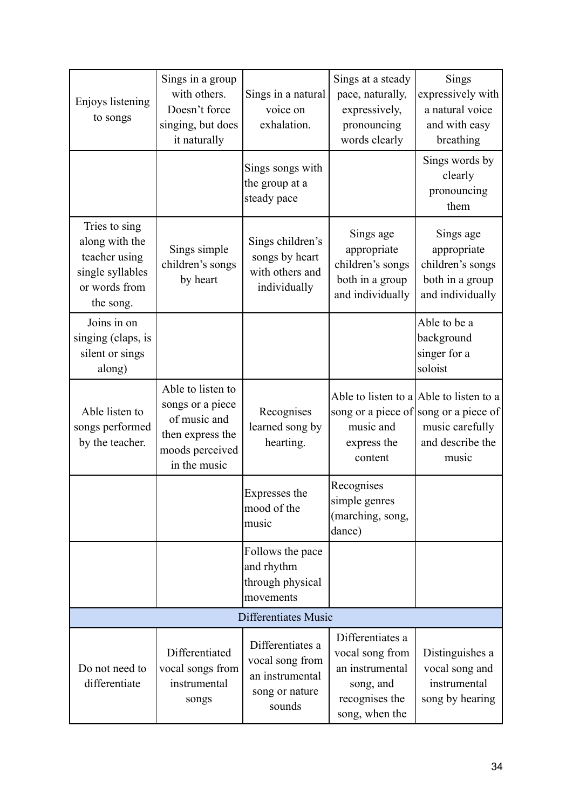| Enjoys listening<br>to songs                                                                       | Sings in a group<br>with others.<br>Doesn't force<br>singing, but does<br>it naturally                       | Sings in a natural<br>voice on<br>exhalation.                                      | Sings at a steady<br>pace, naturally,<br>expressively,<br>pronouncing<br>words clearly                  | Sings<br>expressively with<br>a natural voice<br>and with easy<br>breathing                                                      |
|----------------------------------------------------------------------------------------------------|--------------------------------------------------------------------------------------------------------------|------------------------------------------------------------------------------------|---------------------------------------------------------------------------------------------------------|----------------------------------------------------------------------------------------------------------------------------------|
|                                                                                                    |                                                                                                              | Sings songs with<br>the group at a<br>steady pace                                  |                                                                                                         | Sings words by<br>clearly<br>pronouncing<br>them                                                                                 |
| Tries to sing<br>along with the<br>teacher using<br>single syllables<br>or words from<br>the song. | Sings simple<br>children's songs<br>by heart                                                                 | Sings children's<br>songs by heart<br>with others and<br>individually              | Sings age<br>appropriate<br>children's songs<br>both in a group<br>and individually                     | Sings age<br>appropriate<br>children's songs<br>both in a group<br>and individually                                              |
| Joins in on<br>singing (claps, is<br>silent or sings<br>along)                                     |                                                                                                              |                                                                                    |                                                                                                         | Able to be a<br>background<br>singer for a<br>soloist                                                                            |
| Able listen to<br>songs performed<br>by the teacher.                                               | Able to listen to<br>songs or a piece<br>of music and<br>then express the<br>moods perceived<br>in the music | Recognises<br>learned song by<br>hearting.                                         | music and<br>express the<br>content                                                                     | Able to listen to a Able to listen to a<br>song or a piece of song or a piece of<br>music carefully<br>and describe the<br>music |
|                                                                                                    |                                                                                                              | Expresses the<br>mood of the<br>music                                              | Recognises<br>simple genres<br>(marching, song,<br>dance)                                               |                                                                                                                                  |
|                                                                                                    |                                                                                                              | Follows the pace<br>and rhythm<br>through physical<br>movements                    |                                                                                                         |                                                                                                                                  |
|                                                                                                    |                                                                                                              | Differentiates Music                                                               |                                                                                                         |                                                                                                                                  |
| Do not need to<br>differentiate                                                                    | Differentiated<br>vocal songs from<br>instrumental<br>songs                                                  | Differentiates a<br>vocal song from<br>an instrumental<br>song or nature<br>sounds | Differentiates a<br>vocal song from<br>an instrumental<br>song, and<br>recognises the<br>song, when the | Distinguishes a<br>vocal song and<br>instrumental<br>song by hearing                                                             |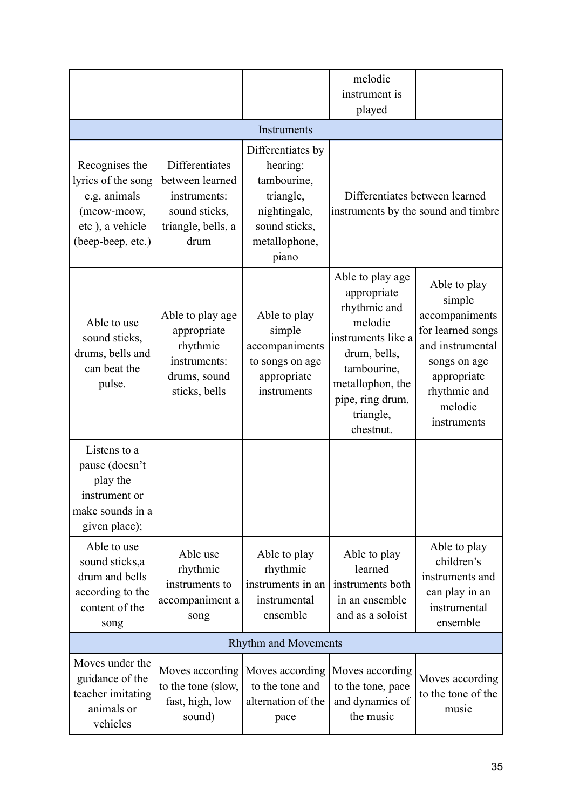|                                                                                                             |                                                                                                  |                                                                                                                      | melodic<br>instrument is<br>played                                                                                                                                                |                                                                                                                                                            |
|-------------------------------------------------------------------------------------------------------------|--------------------------------------------------------------------------------------------------|----------------------------------------------------------------------------------------------------------------------|-----------------------------------------------------------------------------------------------------------------------------------------------------------------------------------|------------------------------------------------------------------------------------------------------------------------------------------------------------|
|                                                                                                             |                                                                                                  | Instruments                                                                                                          |                                                                                                                                                                                   |                                                                                                                                                            |
| Recognises the<br>lyrics of the song<br>e.g. animals<br>(meow-meow,<br>etc), a vehicle<br>(beep-beep, etc.) | Differentiates<br>between learned<br>instruments:<br>sound sticks,<br>triangle, bells, a<br>drum | Differentiates by<br>hearing:<br>tambourine,<br>triangle,<br>nightingale,<br>sound sticks,<br>metallophone,<br>piano | instruments by the sound and timbre                                                                                                                                               | Differentiates between learned                                                                                                                             |
| Able to use<br>sound sticks,<br>drums, bells and<br>can beat the<br>pulse.                                  | Able to play age<br>appropriate<br>rhythmic<br>instruments:<br>drums, sound<br>sticks, bells     | Able to play<br>simple<br>accompaniments<br>to songs on age<br>appropriate<br>instruments                            | Able to play age<br>appropriate<br>rhythmic and<br>melodic<br>instruments like a<br>drum, bells,<br>tambourine,<br>metallophon, the<br>pipe, ring drum,<br>triangle,<br>chestnut. | Able to play<br>simple<br>accompaniments<br>for learned songs<br>and instrumental<br>songs on age<br>appropriate<br>rhythmic and<br>melodic<br>instruments |
| Listens to a<br>pause (doesn't<br>play the<br>instrument or<br>make sounds in a<br>given place);            |                                                                                                  |                                                                                                                      |                                                                                                                                                                                   |                                                                                                                                                            |
| Able to use<br>sound sticks,a<br>drum and bells<br>according to the<br>content of the<br>song               | Able use<br>rhythmic<br>instruments to<br>accompaniment a<br>song                                | Able to play<br>rhythmic<br>instruments in an<br>instrumental<br>ensemble                                            | Able to play<br>learned<br>instruments both<br>in an ensemble<br>and as a soloist                                                                                                 | Able to play<br>children's<br>instruments and<br>can play in an<br>instrumental<br>ensemble                                                                |
|                                                                                                             |                                                                                                  | <b>Rhythm and Movements</b>                                                                                          |                                                                                                                                                                                   |                                                                                                                                                            |
| Moves under the<br>guidance of the<br>teacher imitating<br>animals or<br>vehicles                           | Moves according<br>to the tone (slow,<br>fast, high, low<br>sound)                               | Moves according<br>to the tone and<br>alternation of the<br>pace                                                     | Moves according<br>to the tone, pace<br>and dynamics of<br>the music                                                                                                              | Moves according<br>to the tone of the<br>music                                                                                                             |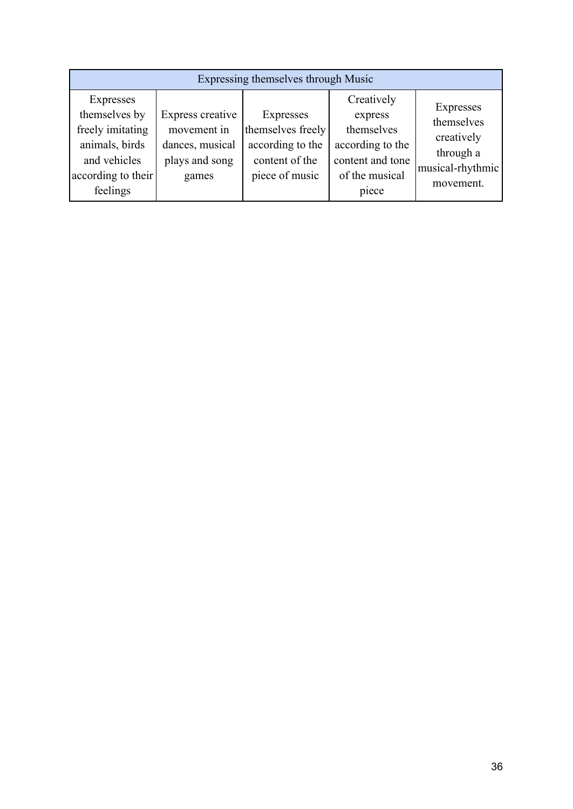| Expressing themselves through Music                                                                                |                                                                               |                                                                                        |                                                                                                        |                                                                                     |
|--------------------------------------------------------------------------------------------------------------------|-------------------------------------------------------------------------------|----------------------------------------------------------------------------------------|--------------------------------------------------------------------------------------------------------|-------------------------------------------------------------------------------------|
| Expresses<br>themselves by<br>freely imitating<br>animals, birds<br>and vehicles<br>according to their<br>feelings | Express creative<br>movement in<br>dances, musical<br>plays and song<br>games | Expresses<br>themselves freely<br>according to the<br>content of the<br>piece of music | Creatively<br>express<br>themselves<br>according to the<br>content and tone<br>of the musical<br>piece | Expresses<br>themselves<br>creatively<br>through a<br>musical-rhythmic<br>movement. |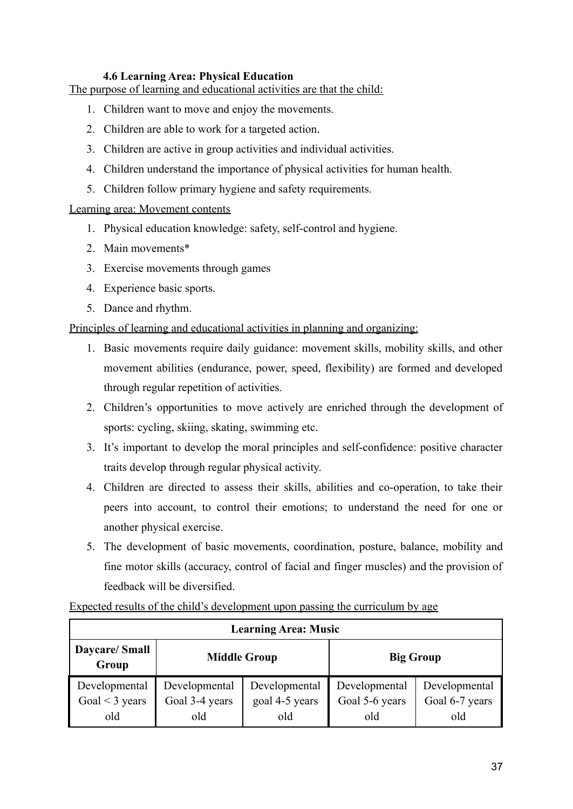#### **4.6 Learning Area: Physical Education**

The purpose of learning and educational activities are that the child:

- 1. Children want to move and enjoy the movements.
- 2. Children are able to work for a targeted action.
- 3. Children are active in group activities and individual activities.
- 4. Children understand the importance of physical activities for human health.
- 5. Children follow primary hygiene and safety requirements.

#### Learning area: Movement contents

- 1. Physical education knowledge: safety, self-control and hygiene.
- 2. Main movements\*
- 3. Exercise movements through games
- 4. Experience basic sports.
- 5. Dance and rhythm.

#### Principles of learning and educational activities in planning and organizing:

- 1. Basic movements require daily guidance: movement skills, mobility skills, and other movement abilities (endurance, power, speed, flexibility) are formed and developed through regular repetition of activities.
- 2. Children's opportunities to move actively are enriched through the development of sports: cycling, skiing, skating, swimming etc.
- 3. It's important to develop the moral principles and self-confidence: positive character traits develop through regular physical activity.
- 4. Children are directed to assess their skills, abilities and co-operation, to take their peers into account, to control their emotions; to understand the need for one or another physical exercise.
- 5. The development of basic movements, coordination, posture, balance, mobility and fine motor skills (accuracy, control of facial and finger muscles) and the provision of feedback will be diversified.

| <b>Learning Area: Music</b> |                     |                |                  |                |  |
|-----------------------------|---------------------|----------------|------------------|----------------|--|
| Daycare/Small<br>Group      | <b>Middle Group</b> |                | <b>Big Group</b> |                |  |
| Developmental               | Developmental       | Developmental  | Developmental    | Developmental  |  |
| Goal $<$ 3 years            | Goal 3-4 years      | goal 4-5 years | Goal 5-6 years   | Goal 6-7 years |  |
| old                         | old                 | old            | old              | old            |  |

Expected results of the child's development upon passing the curriculum by age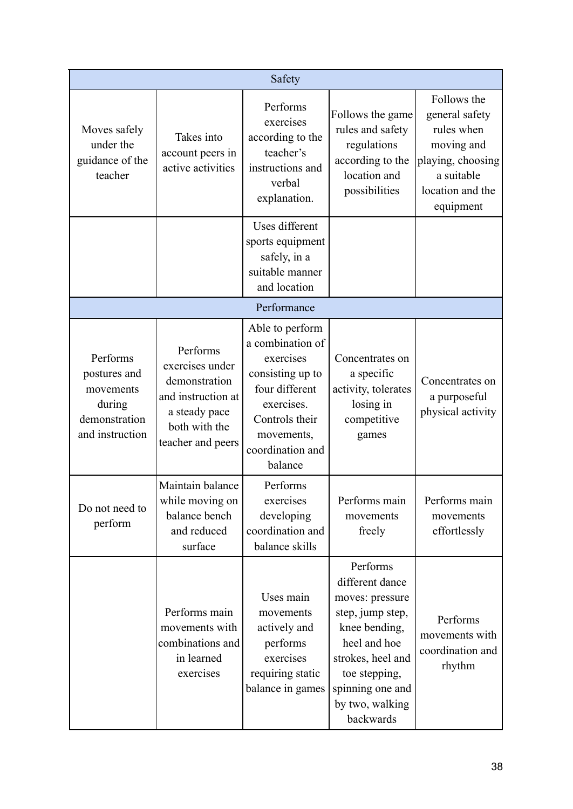|                                                                                     |                                                                                                                           | Safety                                                                                                                                                              |                                                                                                                                                                                               |                                                                                                                               |
|-------------------------------------------------------------------------------------|---------------------------------------------------------------------------------------------------------------------------|---------------------------------------------------------------------------------------------------------------------------------------------------------------------|-----------------------------------------------------------------------------------------------------------------------------------------------------------------------------------------------|-------------------------------------------------------------------------------------------------------------------------------|
| Moves safely<br>under the<br>guidance of the<br>teacher                             | Takes into<br>account peers in<br>active activities                                                                       | Performs<br>exercises<br>according to the<br>teacher's<br>instructions and<br>verbal<br>explanation.                                                                | Follows the game<br>rules and safety<br>regulations<br>according to the<br>location and<br>possibilities                                                                                      | Follows the<br>general safety<br>rules when<br>moving and<br>playing, choosing<br>a suitable<br>location and the<br>equipment |
|                                                                                     |                                                                                                                           | Uses different<br>sports equipment<br>safely, in a<br>suitable manner<br>and location                                                                               |                                                                                                                                                                                               |                                                                                                                               |
|                                                                                     |                                                                                                                           | Performance                                                                                                                                                         |                                                                                                                                                                                               |                                                                                                                               |
| Performs<br>postures and<br>movements<br>during<br>demonstration<br>and instruction | Performs<br>exercises under<br>demonstration<br>and instruction at<br>a steady pace<br>both with the<br>teacher and peers | Able to perform<br>a combination of<br>exercises<br>consisting up to<br>four different<br>exercises.<br>Controls their<br>movements,<br>coordination and<br>balance | Concentrates on<br>a specific<br>activity, tolerates<br>losing in<br>competitive<br>games                                                                                                     | Concentrates on<br>a purposeful<br>physical activity                                                                          |
| Do not need to<br>perform                                                           | Maintain balance<br>while moving on<br>balance bench<br>and reduced<br>surface                                            | Performs<br>exercises<br>developing<br>coordination and<br>balance skills                                                                                           | Performs main<br>movements<br>freely                                                                                                                                                          | Performs main<br>movements<br>effortlessly                                                                                    |
|                                                                                     | Performs main<br>movements with<br>combinations and<br>in learned<br>exercises                                            | Uses main<br>movements<br>actively and<br>performs<br>exercises<br>requiring static<br>balance in games                                                             | Performs<br>different dance<br>moves: pressure<br>step, jump step,<br>knee bending,<br>heel and hoe<br>strokes, heel and<br>toe stepping,<br>spinning one and<br>by two, walking<br>backwards | Performs<br>movements with<br>coordination and<br>rhythm                                                                      |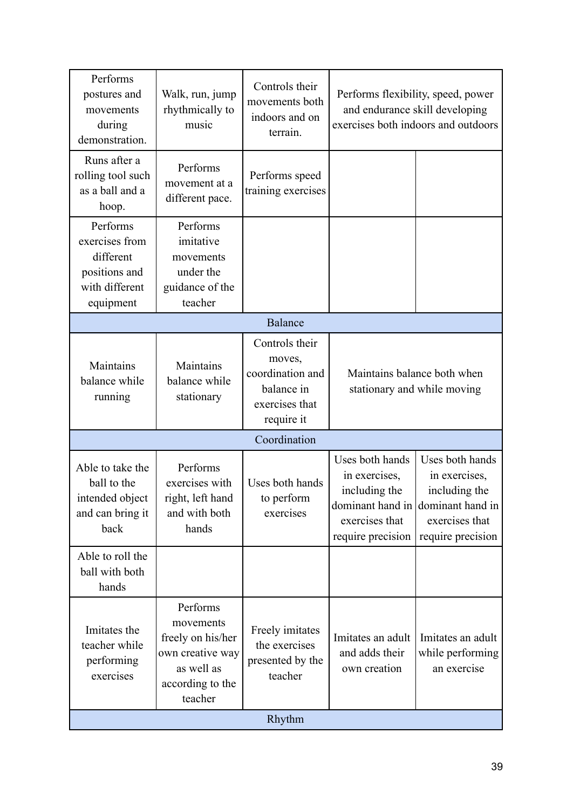| Performs<br>postures and<br>movements<br>during<br>demonstration.                       | Walk, run, jump<br>rhythmically to<br>music                                                                 | Controls their<br>movements both<br>indoors and on<br>terrain.                             | Performs flexibility, speed, power<br>and endurance skill developing<br>exercises both indoors and outdoors |                                                                                                                               |
|-----------------------------------------------------------------------------------------|-------------------------------------------------------------------------------------------------------------|--------------------------------------------------------------------------------------------|-------------------------------------------------------------------------------------------------------------|-------------------------------------------------------------------------------------------------------------------------------|
| Runs after a<br>rolling tool such<br>as a ball and a<br>hoop.                           | Performs<br>movement at a<br>different pace.                                                                | Performs speed<br>training exercises                                                       |                                                                                                             |                                                                                                                               |
| Performs<br>exercises from<br>different<br>positions and<br>with different<br>equipment | Performs<br>imitative<br>movements<br>under the<br>guidance of the<br>teacher                               |                                                                                            |                                                                                                             |                                                                                                                               |
| <b>Balance</b>                                                                          |                                                                                                             |                                                                                            |                                                                                                             |                                                                                                                               |
| Maintains<br>balance while<br>running                                                   | Maintains<br>balance while<br>stationary                                                                    | Controls their<br>moves,<br>coordination and<br>balance in<br>exercises that<br>require it | Maintains balance both when<br>stationary and while moving                                                  |                                                                                                                               |
|                                                                                         |                                                                                                             | Coordination                                                                               |                                                                                                             |                                                                                                                               |
| Able to take the<br>ball to the<br>intended object<br>and can bring it<br>back          | Performs<br>exercises with<br>right, left hand<br>and with both<br>hands                                    | Uses both hands<br>to perform<br>exercises                                                 | Uses both hands<br>in exercises,<br>including the<br>exercises that<br>require precision                    | Uses both hands<br>in exercises,<br>including the<br>dominant hand in dominant hand in<br>exercises that<br>require precision |
| Able to roll the<br>ball with both<br>hands                                             |                                                                                                             |                                                                                            |                                                                                                             |                                                                                                                               |
| Imitates the<br>teacher while<br>performing<br>exercises                                | Performs<br>movements<br>freely on his/her<br>own creative way<br>as well as<br>according to the<br>teacher | Freely imitates<br>the exercises<br>presented by the<br>teacher                            | Imitates an adult<br>and adds their<br>own creation                                                         | Imitates an adult<br>while performing<br>an exercise                                                                          |
| Rhythm                                                                                  |                                                                                                             |                                                                                            |                                                                                                             |                                                                                                                               |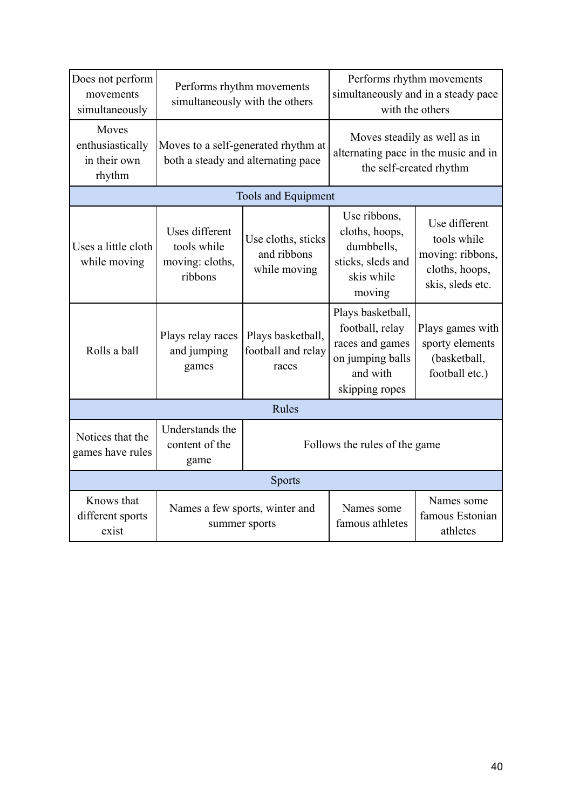| Does not perform<br>movements<br>simultaneously     | Performs rhythm movements<br>simultaneously with the others               |                                                   | Performs rhythm movements<br>simultaneously and in a steady pace<br>with the others                       |                                                                                        |
|-----------------------------------------------------|---------------------------------------------------------------------------|---------------------------------------------------|-----------------------------------------------------------------------------------------------------------|----------------------------------------------------------------------------------------|
| Moves<br>enthusiastically<br>in their own<br>rhythm | Moves to a self-generated rhythm at<br>both a steady and alternating pace |                                                   | Moves steadily as well as in<br>alternating pace in the music and in<br>the self-created rhythm           |                                                                                        |
|                                                     |                                                                           | <b>Tools and Equipment</b>                        |                                                                                                           |                                                                                        |
| Uses a little cloth<br>while moving                 | Uses different<br>tools while<br>moving: cloths,<br>ribbons               | Use cloths, sticks<br>and ribbons<br>while moving | Use ribbons,<br>cloths, hoops,<br>dumbbells,<br>sticks, sleds and<br>skis while<br>moving                 | Use different<br>tools while<br>moving: ribbons,<br>cloths, hoops,<br>skis, sleds etc. |
| Rolls a ball                                        | Plays relay races<br>and jumping<br>games                                 | Plays basketball,<br>football and relay<br>races  | Plays basketball,<br>football, relay<br>races and games<br>on jumping balls<br>and with<br>skipping ropes | Plays games with<br>sporty elements<br>(basketball,<br>football etc.)                  |
|                                                     |                                                                           | Rules                                             |                                                                                                           |                                                                                        |
| Notices that the<br>games have rules                | Understands the<br>content of the<br>game                                 | Follows the rules of the game                     |                                                                                                           |                                                                                        |
|                                                     |                                                                           | <b>Sports</b>                                     |                                                                                                           |                                                                                        |
| Knows that<br>different sports<br>exist             | Names a few sports, winter and<br>summer sports                           |                                                   | Names some<br>famous athletes                                                                             | Names some<br>famous Estonian<br>athletes                                              |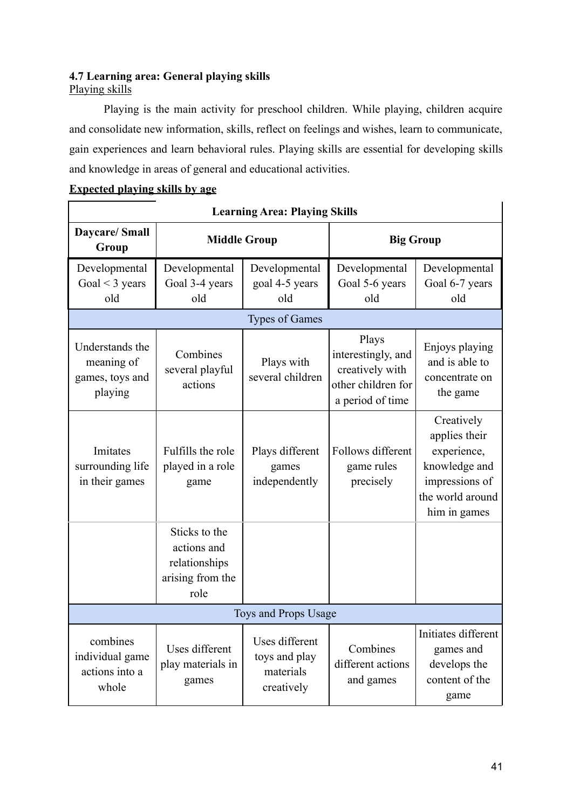## **4.7 Learning area: General playing skills** Playing skills

Playing is the main activity for preschool children. While playing, children acquire and consolidate new information, skills, reflect on feelings and wishes, learn to communicate, gain experiences and learn behavioral rules. Playing skills are essential for developing skills and knowledge in areas of general and educational activities.

# **Expected playing skills by age**

| <b>Learning Area: Playing Skills</b>                        |                                                                           |                                                            |                                                                                          |                                                                                                                   |  |
|-------------------------------------------------------------|---------------------------------------------------------------------------|------------------------------------------------------------|------------------------------------------------------------------------------------------|-------------------------------------------------------------------------------------------------------------------|--|
| <b>Daycare/Small</b><br>Group                               | <b>Middle Group</b>                                                       |                                                            | <b>Big Group</b>                                                                         |                                                                                                                   |  |
| Developmental<br>Goal $\leq$ 3 years<br>old                 | Developmental<br>Goal 3-4 years<br>old                                    | Developmental<br>goal 4-5 years<br>old                     | Developmental<br>Goal 5-6 years<br>old                                                   | Developmental<br>Goal 6-7 years<br>old                                                                            |  |
|                                                             |                                                                           | <b>Types of Games</b>                                      |                                                                                          |                                                                                                                   |  |
| Understands the<br>meaning of<br>games, toys and<br>playing | Combines<br>several playful<br>actions                                    | Plays with<br>several children                             | Plays<br>interestingly, and<br>creatively with<br>other children for<br>a period of time | Enjoys playing<br>and is able to<br>concentrate on<br>the game                                                    |  |
| Imitates<br>surrounding life<br>in their games              | Fulfills the role<br>played in a role<br>game                             | Plays different<br>games<br>independently                  | Follows different<br>game rules<br>precisely                                             | Creatively<br>applies their<br>experience,<br>knowledge and<br>impressions of<br>the world around<br>him in games |  |
|                                                             | Sticks to the<br>actions and<br>relationships<br>arising from the<br>role |                                                            |                                                                                          |                                                                                                                   |  |
|                                                             |                                                                           | Toys and Props Usage                                       |                                                                                          |                                                                                                                   |  |
| combines<br>individual game<br>actions into a<br>whole      | Uses different<br>play materials in<br>games                              | Uses different<br>toys and play<br>materials<br>creatively | Combines<br>different actions<br>and games                                               | Initiates different<br>games and<br>develops the<br>content of the<br>game                                        |  |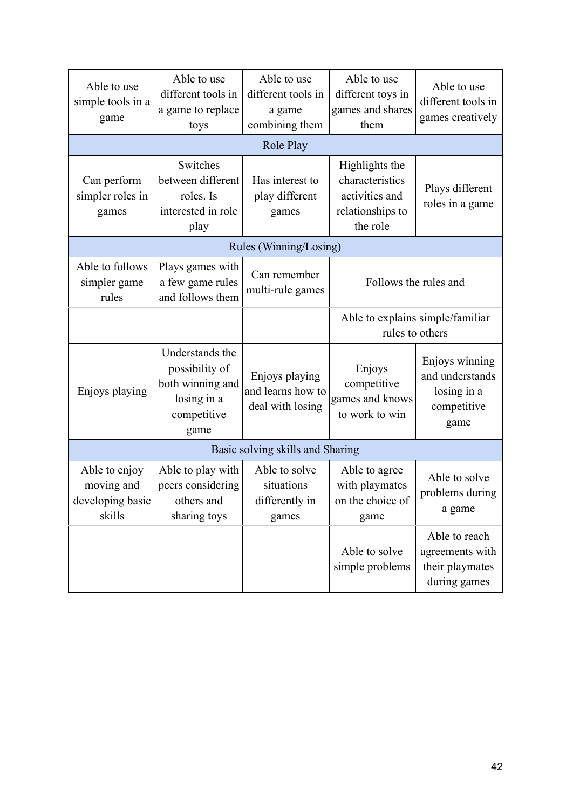| Able to use<br>simple tools in a<br>game                  | Able to use<br>different tools in<br>a game to replace<br>toys                              | Able to use<br>different tools in<br>a game<br>combining them | Able to use<br>different toys in<br>games and shares<br>them                        | Able to use<br>different tools in<br>games creatively                   |
|-----------------------------------------------------------|---------------------------------------------------------------------------------------------|---------------------------------------------------------------|-------------------------------------------------------------------------------------|-------------------------------------------------------------------------|
|                                                           |                                                                                             | Role Play                                                     |                                                                                     |                                                                         |
| Can perform<br>simpler roles in<br>games                  | Switches<br>between different<br>roles. Is<br>interested in role<br>play                    | Has interest to<br>play different<br>games                    | Highlights the<br>characteristics<br>activities and<br>relationships to<br>the role | Plays different<br>roles in a game                                      |
| Rules (Winning/Losing)                                    |                                                                                             |                                                               |                                                                                     |                                                                         |
| Able to follows<br>simpler game<br>rules                  | Plays games with<br>a few game rules<br>and follows them                                    | Can remember<br>multi-rule games                              | Follows the rules and                                                               |                                                                         |
|                                                           |                                                                                             |                                                               | Able to explains simple/familiar<br>rules to others                                 |                                                                         |
| Enjoys playing                                            | Understands the<br>possibility of<br>both winning and<br>losing in a<br>competitive<br>game | Enjoys playing<br>and learns how to<br>deal with losing       | Enjoys<br>competitive<br>games and knows<br>to work to win                          | Enjoys winning<br>and understands<br>losing in a<br>competitive<br>game |
|                                                           |                                                                                             | Basic solving skills and Sharing                              |                                                                                     |                                                                         |
| Able to enjoy<br>moving and<br>developing basic<br>skills | Able to play with<br>peers considering<br>others and<br>sharing toys                        | Able to solve<br>situations<br>differently in<br>games        | Able to agree<br>with playmates<br>on the choice of<br>game                         | Able to solve<br>problems during<br>a game                              |
|                                                           |                                                                                             |                                                               | Able to solve<br>simple problems                                                    | Able to reach<br>agreements with<br>their playmates<br>during games     |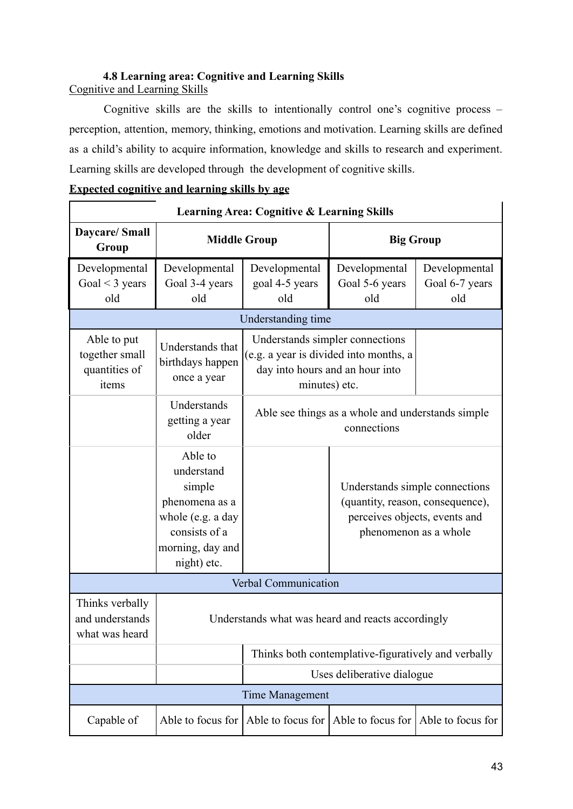#### **4.8 Learning area: Cognitive and Learning Skills** Cognitive and Learning Skills

Cognitive skills are the skills to intentionally control one's cognitive process – perception, attention, memory, thinking, emotions and motivation. Learning skills are defined as a child's ability to acquire information, knowledge and skills to research and experiment. Learning skills are developed through the development of cognitive skills.

|                                           | <u>Expected cognitive and learning skills by age</u>  |  |
|-------------------------------------------|-------------------------------------------------------|--|
|                                           | <b>Learning Area: Cognitive &amp; Learning Skills</b> |  |
| Daycare/Small<br>$\Gamma$ <sub>""</sub> " | <b>Middle Group</b>                                   |  |

| <b>Expected cognitive and learning skills by age</b> |  |  |  |
|------------------------------------------------------|--|--|--|
|                                                      |  |  |  |

| Daycare/ Small<br>Group                                 | <b>Middle Group</b>                                                                                                        |                                                                                                                               | <b>Big Group</b>                                                                                                             |                                        |  |
|---------------------------------------------------------|----------------------------------------------------------------------------------------------------------------------------|-------------------------------------------------------------------------------------------------------------------------------|------------------------------------------------------------------------------------------------------------------------------|----------------------------------------|--|
| Developmental<br>Goal $<$ 3 years<br>old                | Developmental<br>Goal 3-4 years<br>old                                                                                     | Developmental<br>goal 4-5 years<br>old                                                                                        | Developmental<br>Goal 5-6 years<br>old                                                                                       | Developmental<br>Goal 6-7 years<br>old |  |
|                                                         |                                                                                                                            | Understanding time                                                                                                            |                                                                                                                              |                                        |  |
| Able to put<br>together small<br>quantities of<br>items | Understands that<br>birthdays happen<br>once a year                                                                        | Understands simpler connections<br>(e.g. a year is divided into months, a<br>day into hours and an hour into<br>minutes) etc. |                                                                                                                              |                                        |  |
|                                                         | Understands<br>getting a year<br>older                                                                                     | Able see things as a whole and understands simple<br>connections                                                              |                                                                                                                              |                                        |  |
|                                                         | Able to<br>understand<br>simple<br>phenomena as a<br>whole (e.g. a day<br>consists of a<br>morning, day and<br>night) etc. |                                                                                                                               | Understands simple connections<br>(quantity, reason, consequence),<br>perceives objects, events and<br>phenomenon as a whole |                                        |  |
|                                                         |                                                                                                                            | Verbal Communication                                                                                                          |                                                                                                                              |                                        |  |
| Thinks verbally<br>and understands<br>what was heard    |                                                                                                                            | Understands what was heard and reacts accordingly                                                                             |                                                                                                                              |                                        |  |
|                                                         | Thinks both contemplative-figuratively and verbally                                                                        |                                                                                                                               |                                                                                                                              |                                        |  |
|                                                         |                                                                                                                            | Uses deliberative dialogue                                                                                                    |                                                                                                                              |                                        |  |
|                                                         |                                                                                                                            | Time Management                                                                                                               |                                                                                                                              |                                        |  |
| Capable of                                              | Able to focus for                                                                                                          | Able to focus for                                                                                                             | Able to focus for                                                                                                            | Able to focus for                      |  |

 $\overline{1}$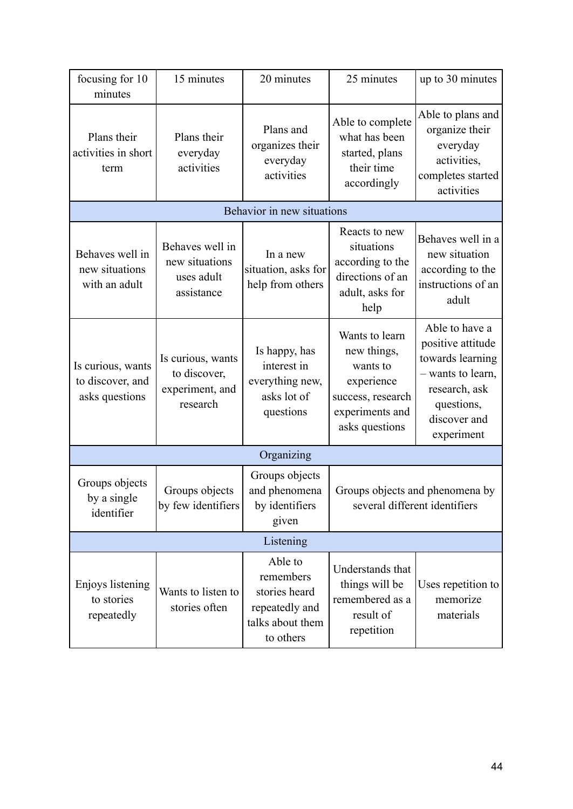| focusing for 10<br>minutes                              | 15 minutes                                                       | 20 minutes                                                                               | 25 minutes                                                                                                        | up to 30 minutes                                                                                                                          |  |  |
|---------------------------------------------------------|------------------------------------------------------------------|------------------------------------------------------------------------------------------|-------------------------------------------------------------------------------------------------------------------|-------------------------------------------------------------------------------------------------------------------------------------------|--|--|
| Plans their<br>activities in short<br>term              | Plans their<br>everyday<br>activities                            | Plans and<br>organizes their<br>everyday<br>activities                                   | Able to complete<br>what has been<br>started, plans<br>their time<br>accordingly                                  | Able to plans and<br>organize their<br>everyday<br>activities,<br>completes started<br>activities                                         |  |  |
|                                                         |                                                                  | Behavior in new situations                                                               |                                                                                                                   |                                                                                                                                           |  |  |
| Behaves well in<br>new situations<br>with an adult      | Behaves well in<br>new situations<br>uses adult<br>assistance    | In a new<br>situation, asks for<br>help from others                                      | Reacts to new<br>situations<br>according to the<br>directions of an<br>adult, asks for<br>help                    | Behaves well in a<br>new situation<br>according to the<br>instructions of an<br>adult                                                     |  |  |
| Is curious, wants<br>to discover, and<br>asks questions | Is curious, wants<br>to discover,<br>experiment, and<br>research | Is happy, has<br>interest in<br>everything new,<br>asks lot of<br>questions              | Wants to learn<br>new things,<br>wants to<br>experience<br>success, research<br>experiments and<br>asks questions | Able to have a<br>positive attitude<br>towards learning<br>- wants to learn,<br>research, ask<br>questions,<br>discover and<br>experiment |  |  |
|                                                         |                                                                  | Organizing                                                                               |                                                                                                                   |                                                                                                                                           |  |  |
| Groups objects<br>by a single<br>identifier             | Groups objects<br>by few identifiers                             | Groups objects<br>and phenomena<br>by identifiers<br>given                               | Groups objects and phenomena by<br>several different identifiers                                                  |                                                                                                                                           |  |  |
| Listening                                               |                                                                  |                                                                                          |                                                                                                                   |                                                                                                                                           |  |  |
| Enjoys listening<br>to stories<br>repeatedly            | Wants to listen to<br>stories often                              | Able to<br>remembers<br>stories heard<br>repeatedly and<br>talks about them<br>to others | Understands that<br>things will be<br>remembered as a<br>result of<br>repetition                                  | Uses repetition to<br>memorize<br>materials                                                                                               |  |  |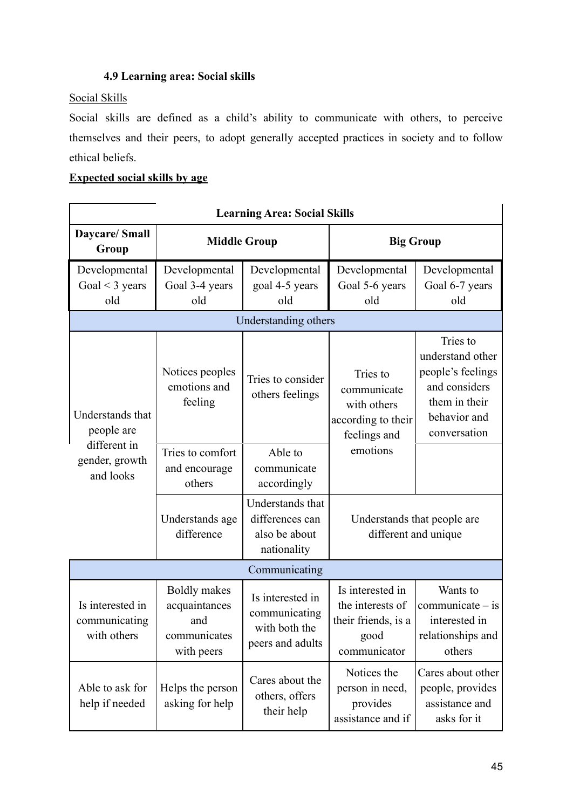## **4.9 Learning area: Social skills**

# Social Skills

Social skills are defined as a child's ability to communicate with others, to perceive themselves and their peers, to adopt generally accepted practices in society and to follow ethical beliefs.

## **Expected social skills by age**

| <b>Learning Area: Social Skills</b>                                           |                                                                           |                                                                        |                                                                                     |                                                                                                                     |  |  |
|-------------------------------------------------------------------------------|---------------------------------------------------------------------------|------------------------------------------------------------------------|-------------------------------------------------------------------------------------|---------------------------------------------------------------------------------------------------------------------|--|--|
| <b>Daycare/Small</b><br>Group                                                 | <b>Middle Group</b>                                                       |                                                                        | <b>Big Group</b>                                                                    |                                                                                                                     |  |  |
| Developmental<br>Goal $<$ 3 years<br>old                                      | Developmental<br>Goal 3-4 years<br>old                                    | Developmental<br>goal 4-5 years<br>old                                 | Developmental<br>Goal 5-6 years<br>old                                              | Developmental<br>Goal 6-7 years<br>old                                                                              |  |  |
|                                                                               |                                                                           | Understanding others                                                   |                                                                                     |                                                                                                                     |  |  |
| Understands that<br>people are<br>different in<br>gender, growth<br>and looks | Notices peoples<br>emotions and<br>feeling                                | Tries to consider<br>others feelings                                   | Tries to<br>communicate<br>with others<br>according to their<br>feelings and        | Tries to<br>understand other<br>people's feelings<br>and considers<br>them in their<br>behavior and<br>conversation |  |  |
|                                                                               | Tries to comfort<br>and encourage<br>others                               | Able to<br>communicate<br>accordingly                                  | emotions                                                                            |                                                                                                                     |  |  |
|                                                                               | Understands age<br>difference                                             | Understands that<br>differences can<br>also be about<br>nationality    | Understands that people are<br>different and unique                                 |                                                                                                                     |  |  |
|                                                                               |                                                                           | Communicating                                                          |                                                                                     |                                                                                                                     |  |  |
| Is interested in<br>communicating<br>with others                              | <b>Boldly</b> makes<br>acquaintances<br>and<br>communicates<br>with peers | Is interested in<br>communicating<br>with both the<br>peers and adults | Is interested in<br>the interests of<br>their friends, is a<br>good<br>communicator | Wants to<br>communicate $-$ is<br>interested in<br>relationships and<br>others                                      |  |  |
| Able to ask for<br>help if needed                                             | Helps the person<br>asking for help                                       | Cares about the<br>others, offers<br>their help                        | Notices the<br>person in need,<br>provides<br>assistance and if                     | Cares about other<br>people, provides<br>assistance and<br>asks for it                                              |  |  |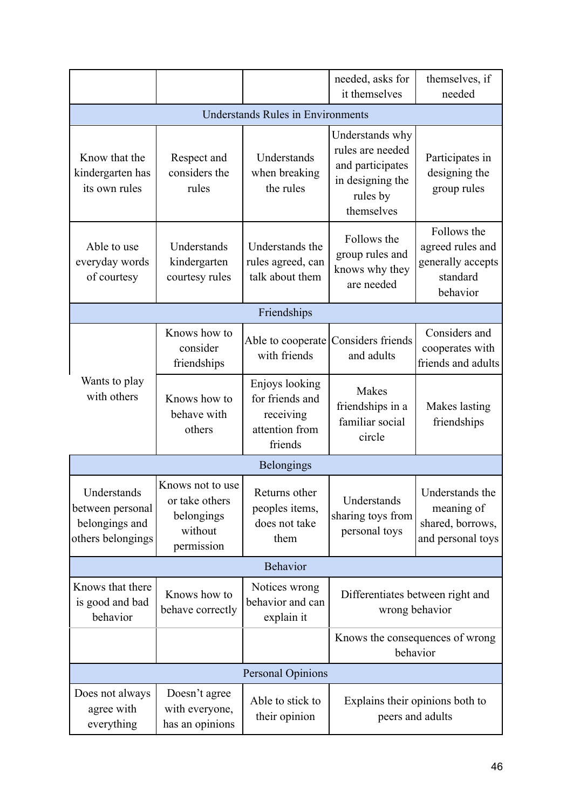|                                                                        |                                                                           |                                                                             | needed, asks for<br>it themselves                                                                     | themselves, if<br>needed                                                     |  |  |  |
|------------------------------------------------------------------------|---------------------------------------------------------------------------|-----------------------------------------------------------------------------|-------------------------------------------------------------------------------------------------------|------------------------------------------------------------------------------|--|--|--|
| <b>Understands Rules in Environments</b>                               |                                                                           |                                                                             |                                                                                                       |                                                                              |  |  |  |
| Know that the<br>kindergarten has<br>its own rules                     | Respect and<br>considers the<br>rules                                     | Understands<br>when breaking<br>the rules                                   | Understands why<br>rules are needed<br>and participates<br>in designing the<br>rules by<br>themselves | Participates in<br>designing the<br>group rules                              |  |  |  |
| Able to use<br>everyday words<br>of courtesy                           | Understands<br>kindergarten<br>courtesy rules                             | Understands the<br>rules agreed, can<br>talk about them                     | Follows the<br>group rules and<br>knows why they<br>are needed                                        | Follows the<br>agreed rules and<br>generally accepts<br>standard<br>behavior |  |  |  |
|                                                                        |                                                                           | Friendships                                                                 |                                                                                                       |                                                                              |  |  |  |
|                                                                        | Knows how to<br>consider<br>friendships                                   | Able to cooperate<br>with friends                                           | Considers friends<br>and adults                                                                       | Considers and<br>cooperates with<br>friends and adults                       |  |  |  |
| Wants to play<br>with others                                           | Knows how to<br>behave with<br>others                                     | Enjoys looking<br>for friends and<br>receiving<br>attention from<br>friends | <b>Makes</b><br>friendships in a<br>familiar social<br>circle                                         | Makes lasting<br>friendships                                                 |  |  |  |
| <b>Belongings</b>                                                      |                                                                           |                                                                             |                                                                                                       |                                                                              |  |  |  |
| Understands<br>between personal<br>belongings and<br>others belongings | Knows not to use<br>or take others<br>belongings<br>without<br>permission | Returns other<br>peoples items,<br>does not take<br>them                    | Understands<br>sharing toys from<br>personal toys                                                     | Understands the<br>meaning of<br>shared, borrows,<br>and personal toys       |  |  |  |
| <b>Behavior</b>                                                        |                                                                           |                                                                             |                                                                                                       |                                                                              |  |  |  |
| Knows that there<br>is good and bad<br>behavior                        | Knows how to<br>behave correctly                                          | Notices wrong<br>behavior and can<br>explain it                             | Differentiates between right and<br>wrong behavior                                                    |                                                                              |  |  |  |
|                                                                        |                                                                           |                                                                             | Knows the consequences of wrong<br>behavior                                                           |                                                                              |  |  |  |
| <b>Personal Opinions</b>                                               |                                                                           |                                                                             |                                                                                                       |                                                                              |  |  |  |
| Does not always<br>agree with<br>everything                            | Doesn't agree<br>with everyone,<br>has an opinions                        | Able to stick to<br>their opinion                                           | Explains their opinions both to<br>peers and adults                                                   |                                                                              |  |  |  |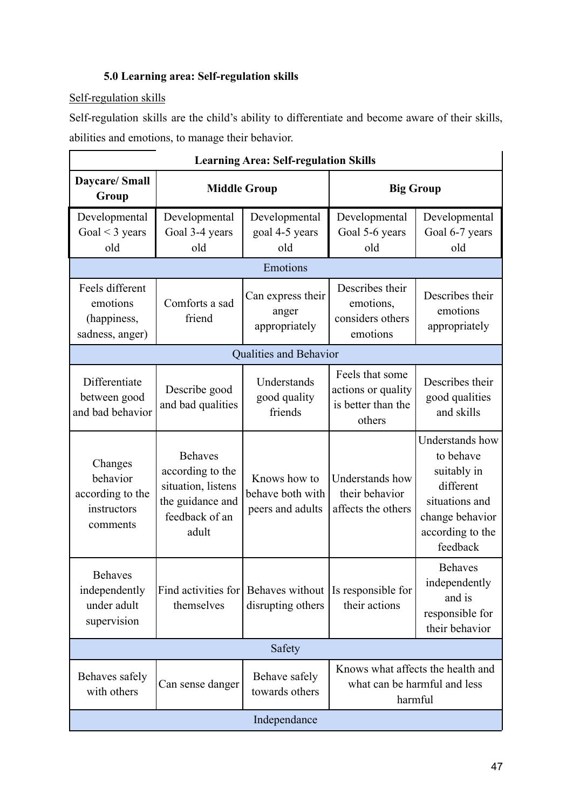# **5.0 Learning area: Self-regulation skills**

# Self-regulation skills

Self-regulation skills are the child's ability to differentiate and become aware of their skills, abilities and emotions, to manage their behavior.

| <b>Learning Area: Self-regulation Skills</b>                       |                                                                                                                                     |                                                      |                                                                       |                                                                                                                               |  |  |
|--------------------------------------------------------------------|-------------------------------------------------------------------------------------------------------------------------------------|------------------------------------------------------|-----------------------------------------------------------------------|-------------------------------------------------------------------------------------------------------------------------------|--|--|
| Daycare/ Small<br>Group                                            | <b>Middle Group</b>                                                                                                                 |                                                      | <b>Big Group</b>                                                      |                                                                                                                               |  |  |
| Developmental<br>Goal $<$ 3 years<br>old                           | Developmental<br>Goal 3-4 years<br>old                                                                                              | Developmental<br>goal 4-5 years<br>old               | Developmental<br>Goal 5-6 years<br>old                                | Developmental<br>Goal 6-7 years<br>old                                                                                        |  |  |
|                                                                    |                                                                                                                                     | Emotions                                             |                                                                       |                                                                                                                               |  |  |
| Feels different<br>emotions<br>(happiness,<br>sadness, anger)      | Comforts a sad<br>friend                                                                                                            | Can express their<br>anger<br>appropriately          | Describes their<br>emotions,<br>considers others<br>emotions          | Describes their<br>emotions<br>appropriately                                                                                  |  |  |
|                                                                    |                                                                                                                                     | Qualities and Behavior                               |                                                                       |                                                                                                                               |  |  |
| Differentiate<br>between good<br>and bad behavior                  | Describe good<br>and bad qualities                                                                                                  | Understands<br>good quality<br>friends               | Feels that some<br>actions or quality<br>is better than the<br>others | Describes their<br>good qualities<br>and skills                                                                               |  |  |
| Changes<br>behavior<br>according to the<br>instructors<br>comments | <b>Behaves</b><br>according to the<br>situation, listens<br>the guidance and<br>feedback of an<br>adult                             | Knows how to<br>behave both with<br>peers and adults | Understands how<br>their behavior<br>affects the others               | Understands how<br>to behave<br>suitably in<br>different<br>situations and<br>change behavior<br>according to the<br>feedback |  |  |
| <b>Behaves</b><br>independently<br>under adult<br>supervision      | Find activities for<br>themselves                                                                                                   | Behaves without<br>disrupting others                 | Is responsible for<br>their actions                                   | <b>Behaves</b><br>independently<br>and is<br>responsible for<br>their behavior                                                |  |  |
| Safety                                                             |                                                                                                                                     |                                                      |                                                                       |                                                                                                                               |  |  |
| Behaves safely<br>with others                                      | Knows what affects the health and<br>Behave safely<br>what can be harmful and less<br>Can sense danger<br>towards others<br>harmful |                                                      |                                                                       |                                                                                                                               |  |  |
| Independance                                                       |                                                                                                                                     |                                                      |                                                                       |                                                                                                                               |  |  |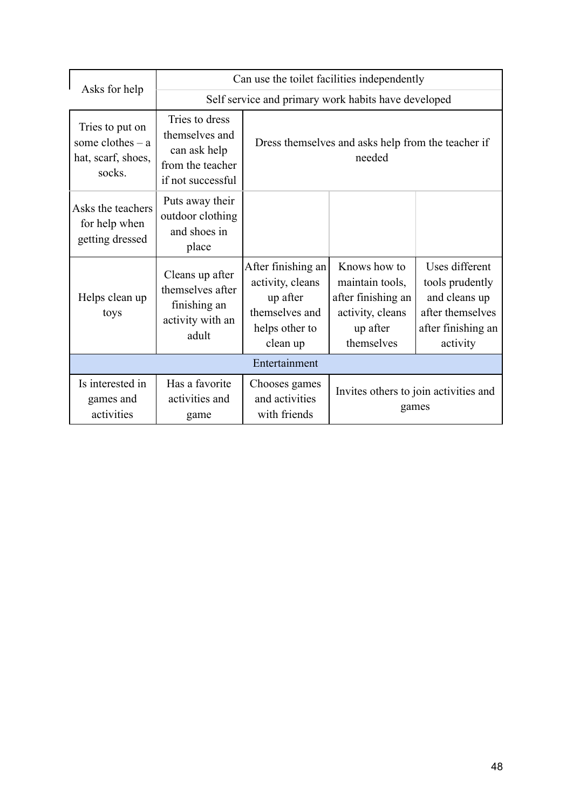|                                                                       | Can use the toilet facilities independently                                               |                                                                                                    |                                                                                                     |                                                                                                          |  |
|-----------------------------------------------------------------------|-------------------------------------------------------------------------------------------|----------------------------------------------------------------------------------------------------|-----------------------------------------------------------------------------------------------------|----------------------------------------------------------------------------------------------------------|--|
| Asks for help                                                         | Self service and primary work habits have developed                                       |                                                                                                    |                                                                                                     |                                                                                                          |  |
| Tries to put on<br>some clothes $-$ a<br>hat, scarf, shoes,<br>socks. | Tries to dress<br>themselves and<br>can ask help<br>from the teacher<br>if not successful | Dress themselves and asks help from the teacher if<br>needed                                       |                                                                                                     |                                                                                                          |  |
| Asks the teachers<br>for help when<br>getting dressed                 | Puts away their<br>outdoor clothing<br>and shoes in<br>place                              |                                                                                                    |                                                                                                     |                                                                                                          |  |
| Helps clean up<br>toys                                                | Cleans up after<br>themselves after<br>finishing an<br>activity with an<br>adult          | After finishing an<br>activity, cleans<br>up after<br>themselves and<br>helps other to<br>clean up | Knows how to<br>maintain tools,<br>after finishing an<br>activity, cleans<br>up after<br>themselves | Uses different<br>tools prudently<br>and cleans up<br>after themselves<br>after finishing an<br>activity |  |
| Entertainment                                                         |                                                                                           |                                                                                                    |                                                                                                     |                                                                                                          |  |
| Is interested in<br>games and<br>activities                           | Has a favorite<br>activities and<br>game                                                  | Chooses games<br>and activities<br>with friends                                                    | Invites others to join activities and<br>games                                                      |                                                                                                          |  |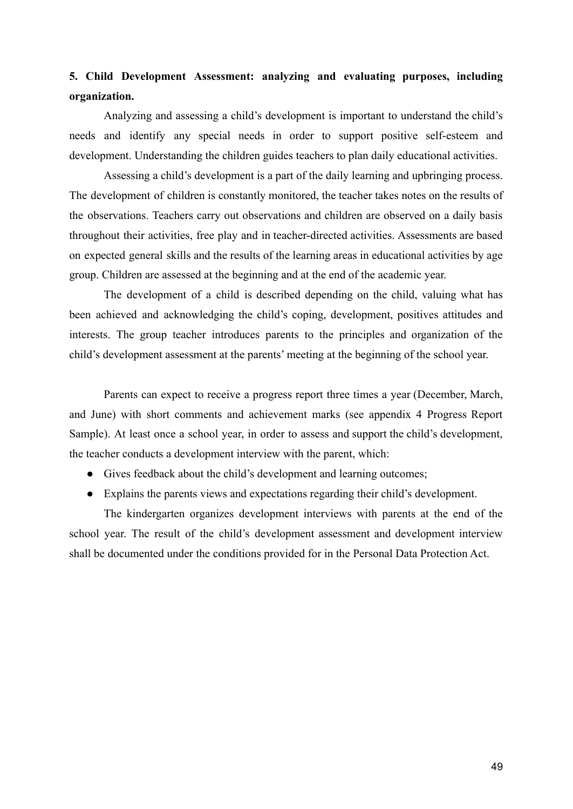# **5. Child Development Assessment: analyzing and evaluating purposes, including organization.**

Analyzing and assessing a child's development is important to understand the child's needs and identify any special needs in order to support positive self-esteem and development. Understanding the children guides teachers to plan daily educational activities.

Assessing a child's development is a part of the daily learning and upbringing process. The development of children is constantly monitored, the teacher takes notes on the results of the observations. Teachers carry out observations and children are observed on a daily basis throughout their activities, free play and in teacher-directed activities. Assessments are based on expected general skills and the results of the learning areas in educational activities by age group. Children are assessed at the beginning and at the end of the academic year.

The development of a child is described depending on the child, valuing what has been achieved and acknowledging the child's coping, development, positives attitudes and interests. The group teacher introduces parents to the principles and organization of the child's development assessment at the parents' meeting at the beginning of the school year.

Parents can expect to receive a progress report three times a year (December, March, and June) with short comments and achievement marks (see appendix 4 Progress Report Sample). At least once a school year, in order to assess and support the child's development, the teacher conducts a development interview with the parent, which:

- Gives feedback about the child's development and learning outcomes;
- Explains the parents views and expectations regarding their child's development.

The kindergarten organizes development interviews with parents at the end of the school year. The result of the child's development assessment and development interview shall be documented under the conditions provided for in the Personal Data Protection Act.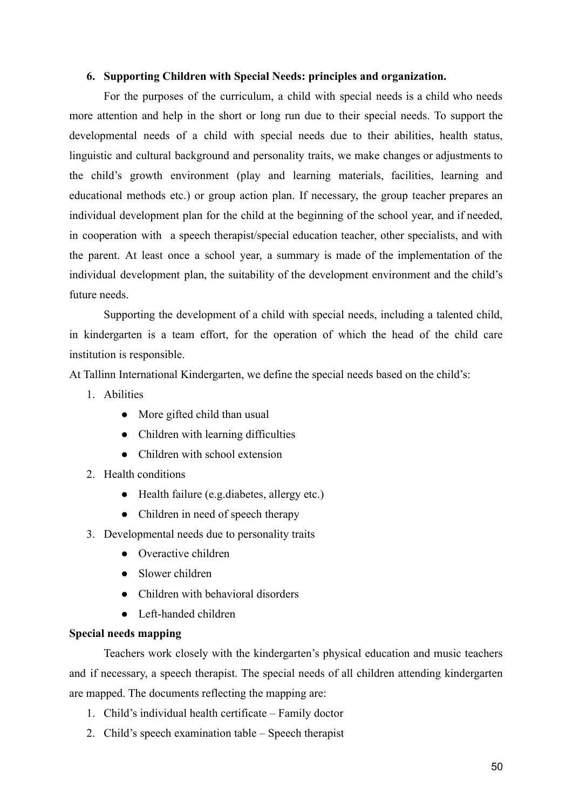#### **6. Supporting Children with Special Needs: principles and organization.**

For the purposes of the curriculum, a child with special needs is a child who needs more attention and help in the short or long run due to their special needs. To support the developmental needs of a child with special needs due to their abilities, health status, linguistic and cultural background and personality traits, we make changes or adjustments to the child's growth environment (play and learning materials, facilities, learning and educational methods etc.) or group action plan. If necessary, the group teacher prepares an individual development plan for the child at the beginning of the school year, and if needed, in cooperation with a speech therapist/special education teacher, other specialists, and with the parent. At least once a school year, a summary is made of the implementation of the individual development plan, the suitability of the development environment and the child's future needs.

Supporting the development of a child with special needs, including a talented child, in kindergarten is a team effort, for the operation of which the head of the child care institution is responsible.

At Tallinn International Kindergarten, we define the special needs based on the child's:

- 1. Abilities
	- More gifted child than usual
	- Children with learning difficulties
	- Children with school extension
- 2. Health conditions
	- Health failure (e.g.diabetes, allergy etc.)
	- Children in need of speech therapy
- 3. Developmental needs due to personality traits
	- Overactive children
	- Slower children
	- Children with behavioral disorders
	- Left-handed children

#### **Special needs mapping**

Teachers work closely with the kindergarten's physical education and music teachers and if necessary, a speech therapist. The special needs of all children attending kindergarten are mapped. The documents reflecting the mapping are:

- 1. Child's individual health certificate Family doctor
- 2. Child's speech examination table Speech therapist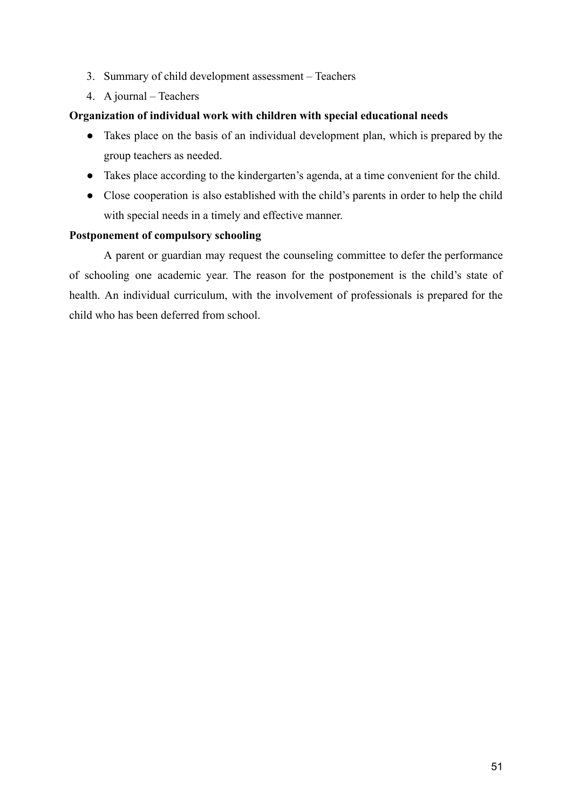- 3. Summary of child development assessment Teachers
- 4. A journal Teachers

#### **Organization of individual work with children with special educational needs**

- Takes place on the basis of an individual development plan, which is prepared by the group teachers as needed.
- Takes place according to the kindergarten's agenda, at a time convenient for the child.
- Close cooperation is also established with the child's parents in order to help the child with special needs in a timely and effective manner.

#### **Postponement of compulsory schooling**

A parent or guardian may request the counseling committee to defer the performance of schooling one academic year. The reason for the postponement is the child's state of health. An individual curriculum, with the involvement of professionals is prepared for the child who has been deferred from school.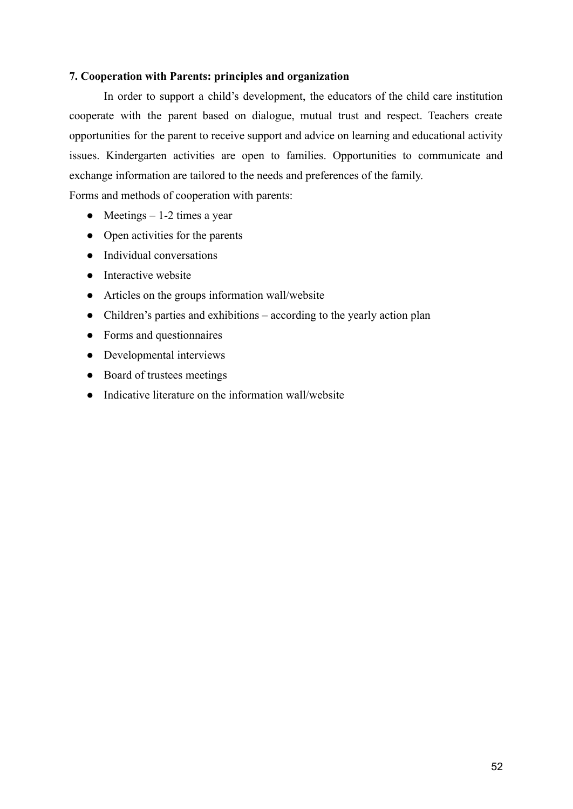#### **7. Cooperation with Parents: principles and organization**

In order to support a child's development, the educators of the child care institution cooperate with the parent based on dialogue, mutual trust and respect. Teachers create opportunities for the parent to receive support and advice on learning and educational activity issues. Kindergarten activities are open to families. Opportunities to communicate and exchange information are tailored to the needs and preferences of the family.

Forms and methods of cooperation with parents:

- Meetings  $-1-2$  times a year
- Open activities for the parents
- Individual conversations
- Interactive website
- Articles on the groups information wall/website
- Children's parties and exhibitions according to the yearly action plan
- Forms and questionnaires
- Developmental interviews
- Board of trustees meetings
- Indicative literature on the information wall/website